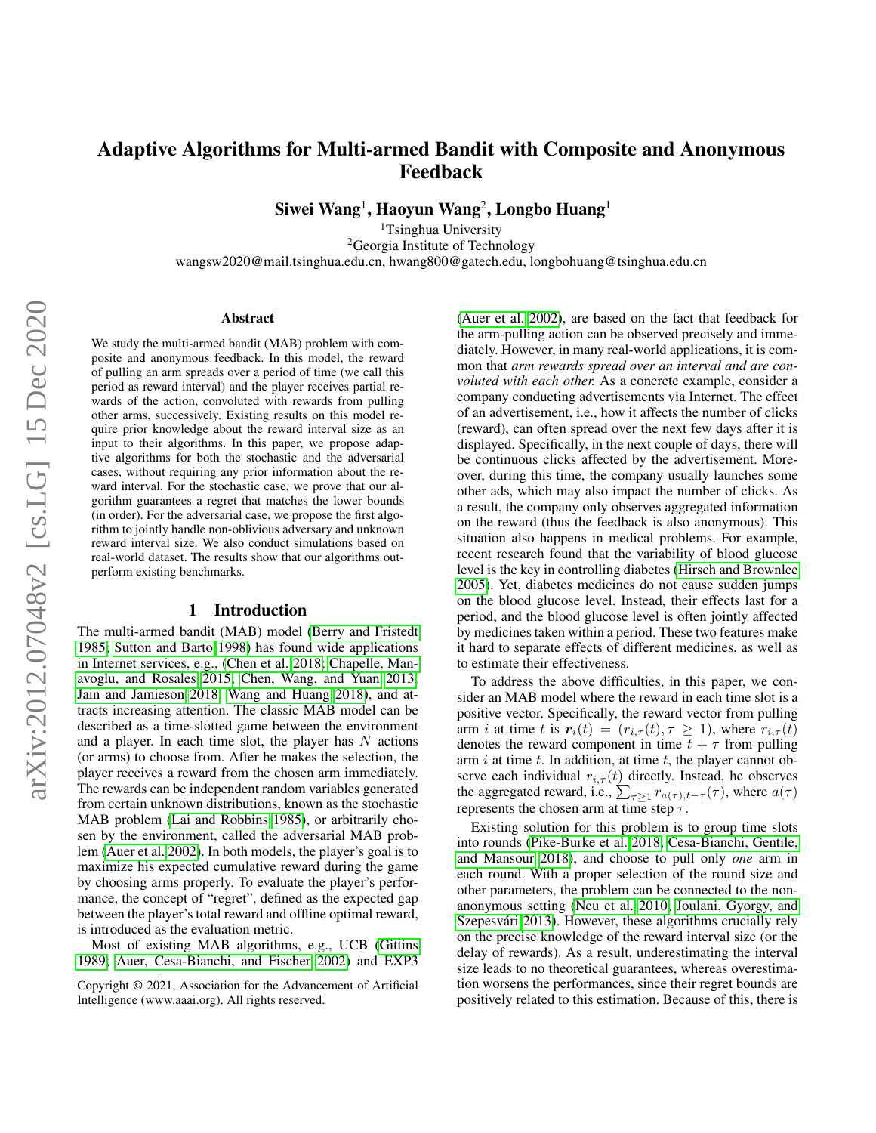# Adaptive Algorithms for Multi-armed Bandit with Composite and Anonymous Feedback

Siwei Wang $^1$ , Haoyun Wang $^2$ , Longbo Huang $^1$ 

<sup>1</sup>Tsinghua University <sup>2</sup>Georgia Institute of Technology wangsw2020@mail.tsinghua.edu.cn, hwang800@gatech.edu, longbohuang@tsinghua.edu.cn

#### Abstract

We study the multi-armed bandit (MAB) problem with composite and anonymous feedback. In this model, the reward of pulling an arm spreads over a period of time (we call this period as reward interval) and the player receives partial rewards of the action, convoluted with rewards from pulling other arms, successively. Existing results on this model require prior knowledge about the reward interval size as an input to their algorithms. In this paper, we propose adaptive algorithms for both the stochastic and the adversarial cases, without requiring any prior information about the reward interval. For the stochastic case, we prove that our algorithm guarantees a regret that matches the lower bounds (in order). For the adversarial case, we propose the first algorithm to jointly handle non-oblivious adversary and unknown reward interval size. We also conduct simulations based on real-world dataset. The results show that our algorithms outperform existing benchmarks.

#### 1 Introduction

The multi-armed bandit (MAB) model [\(Berry and Fristedt](#page-7-0) [1985;](#page-7-0) [Sutton and Barto 1998\)](#page-7-1) has found wide applications in Internet services, e.g., [\(Chen et al. 2018;](#page-7-2) [Chapelle, Man](#page-7-3)[avoglu, and Rosales 2015;](#page-7-3) [Chen, Wang, and Yuan 2013;](#page-7-4) [Jain and Jamieson 2018;](#page-7-5) [Wang and Huang 2018\)](#page-7-6), and attracts increasing attention. The classic MAB model can be described as a time-slotted game between the environment and a player. In each time slot, the player has  $N$  actions (or arms) to choose from. After he makes the selection, the player receives a reward from the chosen arm immediately. The rewards can be independent random variables generated from certain unknown distributions, known as the stochastic MAB problem [\(Lai and Robbins 1985\)](#page-7-7), or arbitrarily chosen by the environment, called the adversarial MAB problem [\(Auer et al. 2002\)](#page-7-8). In both models, the player's goal is to maximize his expected cumulative reward during the game by choosing arms properly. To evaluate the player's performance, the concept of "regret", defined as the expected gap between the player's total reward and offline optimal reward, is introduced as the evaluation metric.

Most of existing MAB algorithms, e.g., UCB [\(Gittins](#page-7-9) [1989;](#page-7-9) [Auer, Cesa-Bianchi, and Fischer 2002\)](#page-7-10) and EXP3

[\(Auer et al. 2002\)](#page-7-8), are based on the fact that feedback for the arm-pulling action can be observed precisely and immediately. However, in many real-world applications, it is common that *arm rewards spread over an interval and are convoluted with each other.* As a concrete example, consider a company conducting advertisements via Internet. The effect of an advertisement, i.e., how it affects the number of clicks (reward), can often spread over the next few days after it is displayed. Specifically, in the next couple of days, there will be continuous clicks affected by the advertisement. Moreover, during this time, the company usually launches some other ads, which may also impact the number of clicks. As a result, the company only observes aggregated information on the reward (thus the feedback is also anonymous). This situation also happens in medical problems. For example, recent research found that the variability of blood glucose level is the key in controlling diabetes [\(Hirsch and Brownlee](#page-7-11) [2005\)](#page-7-11). Yet, diabetes medicines do not cause sudden jumps on the blood glucose level. Instead, their effects last for a period, and the blood glucose level is often jointly affected by medicines taken within a period. These two features make it hard to separate effects of different medicines, as well as to estimate their effectiveness.

To address the above difficulties, in this paper, we consider an MAB model where the reward in each time slot is a positive vector. Specifically, the reward vector from pulling arm *i* at time t is  $r_i(t) = (r_{i,\tau}(t), \tau \ge 1)$ , where  $r_{i,\tau}(t)$ denotes the reward component in time  $t + \tau$  from pulling arm  $i$  at time  $t$ . In addition, at time  $t$ , the player cannot observe each individual  $r_{i,\tau}(t)$  directly. Instead, he observes the aggregated reward, i.e.,  $\sum_{\tau \geq 1} r_{a(\tau), t-\tau}(\tau)$ , where  $a(\tau)$ represents the chosen arm at time step  $\tau$ .

Existing solution for this problem is to group time slots into rounds [\(Pike-Burke et al. 2018;](#page-7-12) [Cesa-Bianchi, Gentile,](#page-7-13) [and Mansour 2018\)](#page-7-13), and choose to pull only *one* arm in each round. With a proper selection of the round size and other parameters, the problem can be connected to the nonanonymous setting [\(Neu et al. 2010;](#page-7-14) [Joulani, Gyorgy, and](#page-7-15) Szepesvári 2013). However, these algorithms crucially rely on the precise knowledge of the reward interval size (or the delay of rewards). As a result, underestimating the interval size leads to no theoretical guarantees, whereas overestimation worsens the performances, since their regret bounds are positively related to this estimation. Because of this, there is

Copyright © 2021, Association for the Advancement of Artificial Intelligence (www.aaai.org). All rights reserved.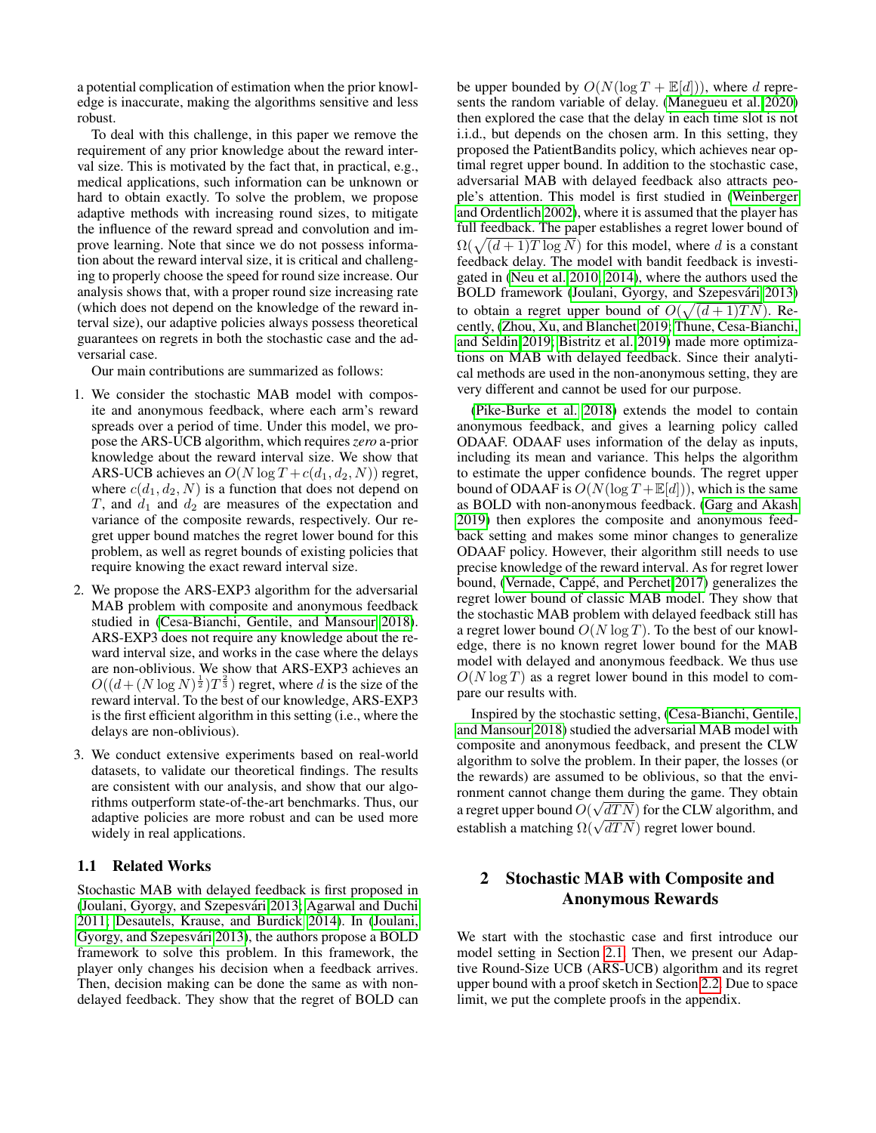a potential complication of estimation when the prior knowledge is inaccurate, making the algorithms sensitive and less robust.

To deal with this challenge, in this paper we remove the requirement of any prior knowledge about the reward interval size. This is motivated by the fact that, in practical, e.g., medical applications, such information can be unknown or hard to obtain exactly. To solve the problem, we propose adaptive methods with increasing round sizes, to mitigate the influence of the reward spread and convolution and improve learning. Note that since we do not possess information about the reward interval size, it is critical and challenging to properly choose the speed for round size increase. Our analysis shows that, with a proper round size increasing rate (which does not depend on the knowledge of the reward interval size), our adaptive policies always possess theoretical guarantees on regrets in both the stochastic case and the adversarial case.

Our main contributions are summarized as follows:

- 1. We consider the stochastic MAB model with composite and anonymous feedback, where each arm's reward spreads over a period of time. Under this model, we propose the ARS-UCB algorithm, which requires*zero* a-prior knowledge about the reward interval size. We show that ARS-UCB achieves an  $O(N \log T + c(d_1, d_2, N))$  regret, where  $c(d_1, d_2, N)$  is a function that does not depend on T, and  $d_1$  and  $d_2$  are measures of the expectation and variance of the composite rewards, respectively. Our regret upper bound matches the regret lower bound for this problem, as well as regret bounds of existing policies that require knowing the exact reward interval size.
- 2. We propose the ARS-EXP3 algorithm for the adversarial MAB problem with composite and anonymous feedback studied in [\(Cesa-Bianchi, Gentile, and Mansour 2018\)](#page-7-13). ARS-EXP3 does not require any knowledge about the reward interval size, and works in the case where the delays are non-oblivious. We show that ARS-EXP3 achieves an  $O((d + (N \log N)^{\frac{1}{2}})T^{\frac{2}{3}})$  regret, where d is the size of the reward interval. To the best of our knowledge, ARS-EXP3 is the first efficient algorithm in this setting (i.e., where the delays are non-oblivious).
- 3. We conduct extensive experiments based on real-world datasets, to validate our theoretical findings. The results are consistent with our analysis, and show that our algorithms outperform state-of-the-art benchmarks. Thus, our adaptive policies are more robust and can be used more widely in real applications.

## 1.1 Related Works

Stochastic MAB with delayed feedback is first proposed in [\(Joulani, Gyorgy, and Szepesvari 2013;](#page-7-15) [Agarwal and Duchi](#page-7-16) ´ [2011;](#page-7-16) [Desautels, Krause, and Burdick 2014\)](#page-7-17). In [\(Joulani,](#page-7-15) Gyorgy, and Szepesvári 2013), the authors propose a BOLD framework to solve this problem. In this framework, the player only changes his decision when a feedback arrives. Then, decision making can be done the same as with nondelayed feedback. They show that the regret of BOLD can

be upper bounded by  $O(N(\log T + \mathbb{E}[d]))$ , where d represents the random variable of delay. [\(Manegueu et al. 2020\)](#page-7-18) then explored the case that the delay in each time slot is not i.i.d., but depends on the chosen arm. In this setting, they proposed the PatientBandits policy, which achieves near optimal regret upper bound. In addition to the stochastic case, adversarial MAB with delayed feedback also attracts people's attention. This model is first studied in [\(Weinberger](#page-7-19) [and Ordentlich 2002\)](#page-7-19), where it is assumed that the player has full feedback. The paper establishes a regret lower bound of  $\Omega(\sqrt{(d+1)T \log N})$  for this model, where d is a constant feedback delay. The model with bandit feedback is investigated in [\(Neu et al. 2010,](#page-7-14) [2014\)](#page-7-20), where the authors used the BOLD framework (Joulani, Gyorgy, and Szepesvári 2013) to obtain a regret upper bound of  $O(\sqrt{(d+1)TN})$ . Recently, [\(Zhou, Xu, and Blanchet 2019;](#page-7-21) [Thune, Cesa-Bianchi,](#page-7-22) [and Seldin 2019;](#page-7-22) [Bistritz et al. 2019\)](#page-7-23) made more optimizations on MAB with delayed feedback. Since their analytical methods are used in the non-anonymous setting, they are very different and cannot be used for our purpose.

[\(Pike-Burke et al. 2018\)](#page-7-12) extends the model to contain anonymous feedback, and gives a learning policy called ODAAF. ODAAF uses information of the delay as inputs, including its mean and variance. This helps the algorithm to estimate the upper confidence bounds. The regret upper bound of ODAAF is  $O(N(\log T + \mathbb{E}[d]))$ , which is the same as BOLD with non-anonymous feedback. [\(Garg and Akash](#page-7-24) [2019\)](#page-7-24) then explores the composite and anonymous feedback setting and makes some minor changes to generalize ODAAF policy. However, their algorithm still needs to use precise knowledge of the reward interval. As for regret lower bound, (Vernade, Cappé, and Perchet 2017) generalizes the regret lower bound of classic MAB model. They show that the stochastic MAB problem with delayed feedback still has a regret lower bound  $O(N \log T)$ . To the best of our knowledge, there is no known regret lower bound for the MAB model with delayed and anonymous feedback. We thus use  $O(N \log T)$  as a regret lower bound in this model to compare our results with.

Inspired by the stochastic setting, [\(Cesa-Bianchi, Gentile,](#page-7-13) [and Mansour 2018\)](#page-7-13) studied the adversarial MAB model with composite and anonymous feedback, and present the CLW algorithm to solve the problem. In their paper, the losses (or the rewards) are assumed to be oblivious, so that the environment cannot change them during the game. They obtain a regret upper bound  $O(\sqrt{dTN})$  for the CLW algorithm, and a regret upper bound  $O(\sqrt{d/N})$  for the CLW afgoritherm establish a matching  $\Omega(\sqrt{dTN})$  regret lower bound.

## 2 Stochastic MAB with Composite and Anonymous Rewards

We start with the stochastic case and first introduce our model setting in Section [2.1.](#page-2-0) Then, we present our Adaptive Round-Size UCB (ARS-UCB) algorithm and its regret upper bound with a proof sketch in Section [2.2.](#page-2-1) Due to space limit, we put the complete proofs in the appendix.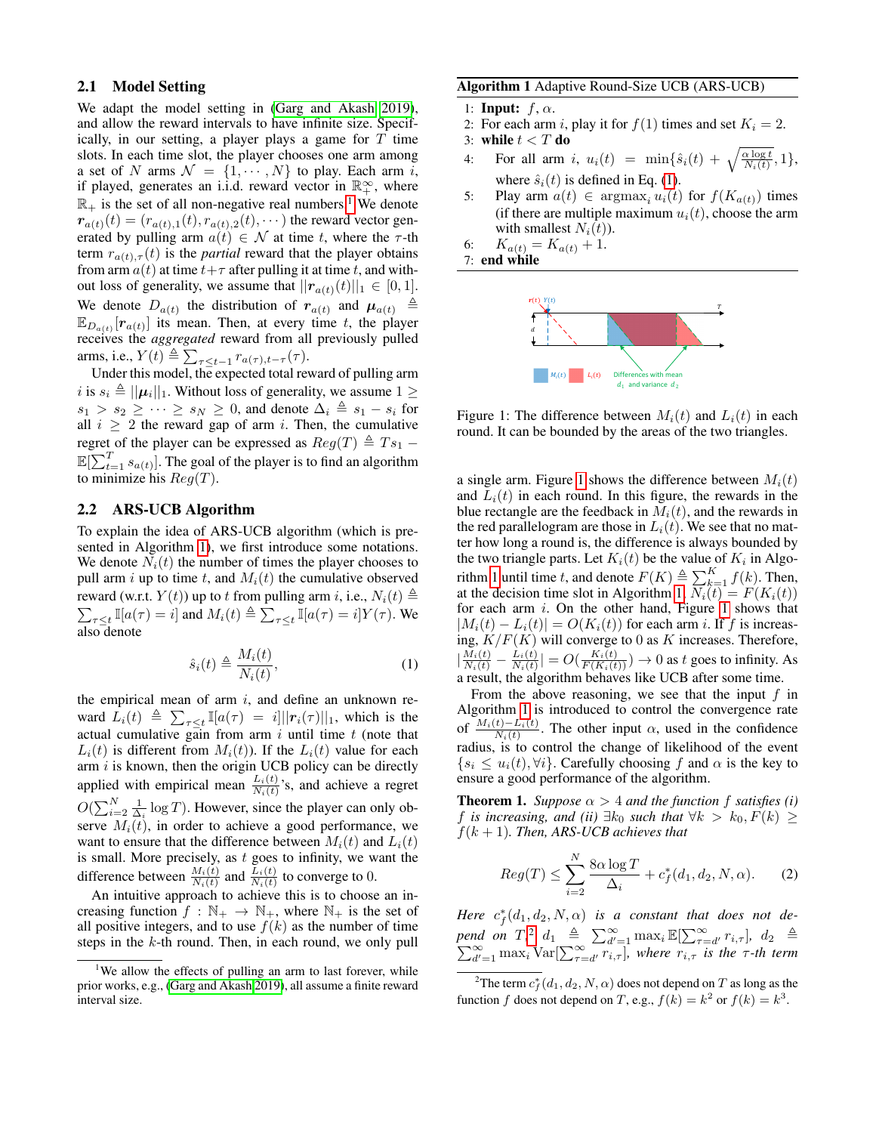#### <span id="page-2-0"></span>2.1 Model Setting

We adapt the model setting in [\(Garg and Akash 2019\)](#page-7-24), and allow the reward intervals to have infinite size. Specifically, in our setting, a player plays a game for  $T$  time slots. In each time slot, the player chooses one arm among a set of N arms  $\mathcal{N} = \{1, \dots, N\}$  to play. Each arm i, if played, generates an i.i.d. reward vector in  $\mathbb{R}^{\infty}_+$ , where  $\mathbb{R}_+$  is the set of all non-negative real numbers.<sup>[1](#page-2-2)</sup> We denote  $r_{a(t)}(t) = (r_{a(t),1}(t), r_{a(t),2}(t), \cdots)$  the reward vector generated by pulling arm  $a(t) \in \mathcal{N}$  at time t, where the  $\tau$ -th term  $r_{a(t),\tau}(t)$  is the *partial* reward that the player obtains from arm  $a(t)$  at time  $t+\tau$  after pulling it at time t, and without loss of generality, we assume that  $||\mathbf{r}_{a(t)}(t)||_1 \in [0,1].$ We denote  $D_{a(t)}$  the distribution of  $r_{a(t)}$  and  $\mu_{a(t)} \triangleq$  $\mathbb{E}_{D_{a(t)}}[r_{a(t)}]$  its mean. Then, at every time t, the player receives the *aggregated* reward from all previously pulled arms, i.e.,  $Y(t) \triangleq \sum_{\tau \leq t-1} r_{a(\tau), t-\tau}(\tau)$ .

Under this model, the expected total reward of pulling arm i is  $s_i \triangleq ||\mu_i||_1$ . Without loss of generality, we assume  $1 \geq$  $s_1 > s_2 \geq \cdots \geq s_N \geq 0$ , and denote  $\Delta_i \triangleq s_1 - s_i$  for all  $i \geq 2$  the reward gap of arm i. Then, the cumulative regret of the player can be expressed as  $Reg(T) \triangleq Ts_1 \mathbb{E}[\sum_{t=1}^{T} s_{a(t)}].$  The goal of the player is to find an algorithm to minimize his  $Reg(T)$ .

## <span id="page-2-1"></span>2.2 ARS-UCB Algorithm

To explain the idea of ARS-UCB algorithm (which is presented in Algorithm [1\)](#page-2-3), we first introduce some notations. We denote  $N_i(t)$  the number of times the player chooses to pull arm i up to time t, and  $M_i(t)$  the cumulative observed  $\sum_{\tau \leq t} \mathbb{I}[a(\tau) = i]$  and  $M_i(t) \triangleq \sum_{\tau \leq t} \mathbb{I}[a(\tau) = i]Y(\tau)$ . We reward (w.r.t.  $Y(t)$ ) up to t from pulling arm i, i.e.,  $N_i(t) \triangleq$ also denote

<span id="page-2-4"></span>
$$
\hat{s}_i(t) \triangleq \frac{M_i(t)}{N_i(t)},\tag{1}
$$

the empirical mean of arm  $i$ , and define an unknown reward  $\bar{L}_i(t) \triangleq \sum_{\tau \leq t} \mathbb{I}[a(\tau) = i] ||\mathbf{r}_i(\tau)||_1$ , which is the actual cumulative gain from arm  $i$  until time  $t$  (note that  $L_i(t)$  is different from  $M_i(t)$ ). If the  $L_i(t)$  value for each arm  $i$  is known, then the origin UCB policy can be directly applied with empirical mean  $\frac{L_i(t)}{N_i(t)}$ 's, and achieve a regret  $O(\sum_{i=2}^{N} \frac{1}{\Delta_i} \log T)$ . However, since the player can only observe  $M_i(t)$ , in order to achieve a good performance, we want to ensure that the difference between  $M_i(t)$  and  $L_i(t)$ is small. More precisely, as  $t$  goes to infinity, we want the difference between  $\frac{M_i(t)}{N_i(t)}$  and  $\frac{L_i(t)}{N_i(t)}$  to converge to 0.

An intuitive approach to achieve this is to choose an increasing function  $f : \mathbb{N}_+ \to \mathbb{N}_+$ , where  $\mathbb{N}_+$  is the set of all positive integers, and to use  $f(k)$  as the number of time steps in the  $k$ -th round. Then, in each round, we only pull

#### <span id="page-2-3"></span>Algorithm 1 Adaptive Round-Size UCB (ARS-UCB)

1: Input:  $f, \alpha$ .

2: For each arm i, play it for  $f(1)$  times and set  $K_i = 2$ .

3: while  $t < T$  do

- 4: For all arm i,  $u_i(t) = \min\{\hat{s}_i(t) + \sqrt{\frac{\alpha \log t}{N_i(t)}}, 1\},$ where  $\hat{s}_i(t)$  is defined in Eq. [\(1\)](#page-2-4).
- 5: Play arm  $a(t) \in \text{argmax}_i u_i(t)$  for  $f(K_{a(t)})$  times (if there are multiple maximum  $u_i(t)$ , choose the arm with smallest  $N_i(t)$ ).

6:  $K_{a(t)} = K_{a(t)} + 1.$ 

<span id="page-2-5"></span>



Figure 1: The difference between  $M_i(t)$  and  $L_i(t)$  in each round. It can be bounded by the areas of the two triangles.

a single arm. Figure [1](#page-2-5) shows the difference between  $M_i(t)$ and  $L_i(t)$  in each round. In this figure, the rewards in the blue rectangle are the feedback in  $M_i(t)$ , and the rewards in the red parallelogram are those in  $L_i(t)$ . We see that no matter how long a round is, the difference is always bounded by the two triangle parts. Let  $K_i(t)$  be the value of  $K_i$  in Algo-rithm [1](#page-2-3) until time t, and denote  $F(K) \triangleq \sum_{k=1}^{K} f(k)$ . Then, at the decision time slot in Algorithm [1,](#page-2-3)  $N_i(t) = F(K_i(t))$ for each arm  $i$ . On the other hand, Figure [1](#page-2-5) shows that  $|M_i(t) - L_i(t)| = O(K_i(t))$  for each arm i. If f is increasing,  $K/F(K)$  will converge to 0 as K increases. Therefore,  $\left| \frac{M_i(t)}{N_i(t)} - \frac{L_i(t)}{N_i(t)} \right|$  $\frac{L_i(t)}{N_i(t)}$  =  $O(\frac{K_i(t)}{F(K_i(t))}) \rightarrow 0$  as t goes to infinity. As a result, the algorithm behaves like UCB after some time.

From the above reasoning, we see that the input  $f$  in Algorithm [1](#page-2-3) is introduced to control the convergence rate of  $\frac{M_i(t)-L_i(t)}{N_i(t)}$ . The other input  $\alpha$ , used in the confidence  $N_i(t)$ radius, is to control the change of likelihood of the event  $\{s_i \leq u_i(t), \forall i\}$ . Carefully choosing f and  $\alpha$  is the key to ensure a good performance of the algorithm.

<span id="page-2-7"></span>**Theorem 1.** *Suppose*  $\alpha > 4$  *and the function*  $f$  *satisfies* (*i*) f *is increasing, and (ii)*  $\exists k_0$  *such that*  $\forall k > k_0, F(k) \geq$ f(k + 1)*. Then, ARS-UCB achieves that*

<span id="page-2-8"></span>
$$
Reg(T) \le \sum_{i=2}^{N} \frac{8\alpha \log T}{\Delta_i} + c_f^*(d_1, d_2, N, \alpha). \tag{2}
$$

*Here*  $c_f^*(d_1, d_2, N, \alpha)$  *is a constant that does not depend on*  $T$ ,<sup>[2](#page-2-6)</sup>,  $d_1 \triangleq \sum_{d'=1}^{\infty} \max_i \mathbb{E}[\sum_{\tau=d'}^{\infty} r_{i,\tau}], d_2 \triangleq \sum_{d'=1}^{\infty} \max_i \text{Var}[\sum_{\tau=d'}^{\infty} r_{i,\tau}], \text{ where } r_i, \tau \text{ is the } \tau\text{-th term}$ 

<span id="page-2-2"></span><sup>&</sup>lt;sup>1</sup>We allow the effects of pulling an arm to last forever, while prior works, e.g., [\(Garg and Akash 2019\)](#page-7-24), all assume a finite reward interval size.

<span id="page-2-6"></span> $^2$ The term  $c_f^*(d_1,d_2,N,\alpha)$  does not depend on  $T$  as long as the function f does not depend on T, e.g.,  $f(k) = k^2$  or  $f(k) = k^3$ .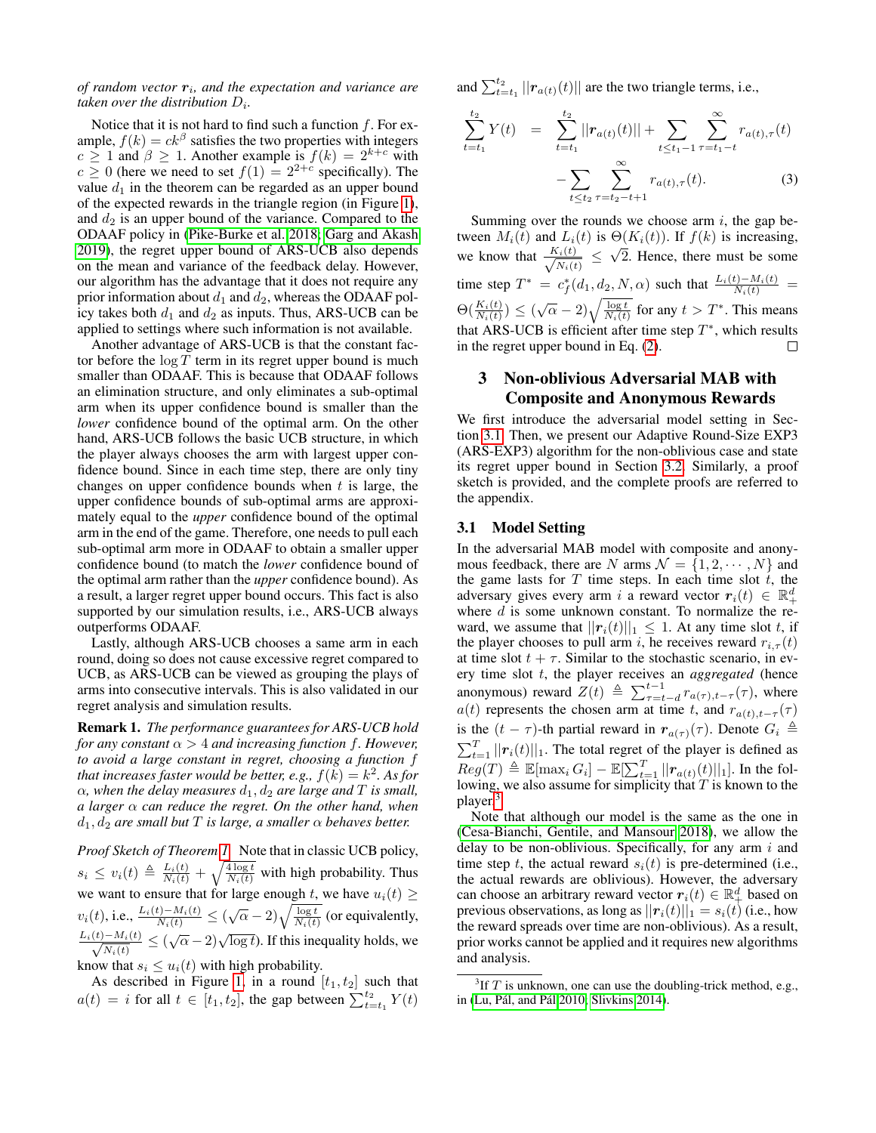### *of random vector*  $r_i$ , and the expectation and variance are taken over the distribution  $D_i$ .

Notice that it is not hard to find such a function  $f$ . For example,  $f(k) = ck^{\beta}$  satisfies the two properties with integers  $c \ge 1$  and  $\beta \ge 1$ . Another example is  $f(k) = 2^{k+c}$  with  $c \ge 0$  (here we need to set  $f(1) = 2^{2+c}$  specifically). The value  $d_1$  in the theorem can be regarded as an upper bound of the expected rewards in the triangle region (in Figure [1\)](#page-2-5), and  $d_2$  is an upper bound of the variance. Compared to the ODAAF policy in [\(Pike-Burke et al. 2018;](#page-7-12) [Garg and Akash](#page-7-24) [2019\)](#page-7-24), the regret upper bound of ARS-UCB also depends on the mean and variance of the feedback delay. However, our algorithm has the advantage that it does not require any prior information about  $d_1$  and  $d_2$ , whereas the ODAAF policy takes both  $d_1$  and  $d_2$  as inputs. Thus, ARS-UCB can be applied to settings where such information is not available.

Another advantage of ARS-UCB is that the constant factor before the  $\log T$  term in its regret upper bound is much smaller than ODAAF. This is because that ODAAF follows an elimination structure, and only eliminates a sub-optimal arm when its upper confidence bound is smaller than the *lower* confidence bound of the optimal arm. On the other hand, ARS-UCB follows the basic UCB structure, in which the player always chooses the arm with largest upper confidence bound. Since in each time step, there are only tiny changes on upper confidence bounds when  $t$  is large, the upper confidence bounds of sub-optimal arms are approximately equal to the *upper* confidence bound of the optimal arm in the end of the game. Therefore, one needs to pull each sub-optimal arm more in ODAAF to obtain a smaller upper confidence bound (to match the *lower* confidence bound of the optimal arm rather than the *upper* confidence bound). As a result, a larger regret upper bound occurs. This fact is also supported by our simulation results, i.e., ARS-UCB always outperforms ODAAF.

Lastly, although ARS-UCB chooses a same arm in each round, doing so does not cause excessive regret compared to UCB, as ARS-UCB can be viewed as grouping the plays of arms into consecutive intervals. This is also validated in our regret analysis and simulation results.

Remark 1. *The performance guarantees for ARS-UCB hold for any constant* α > 4 *and increasing function* f*. However, to avoid a large constant in regret, choosing a function* f *that increases faster would be better, e.g.,*  $f(k) = k^2$ . As for  $\alpha$ *, when the delay measures*  $d_1$ *,*  $d_2$  *are large and*  $T$  *is small, a larger* α *can reduce the regret. On the other hand, when*  $d_1, d_2$  *are small but* T *is large, a smaller*  $\alpha$  *behaves better.* 

*Proof Sketch of Theorem [1.](#page-2-7)* Note that in classic UCB policy,  $s_i \leq v_i(t) \triangleq \frac{L_i(t)}{N_i(t)} + \sqrt{\frac{4 \log t}{N_i(t)}}$  with high probability. Thus we want to ensure that for large enough t, we have  $u_i(t) \geq$  $v_i(t)$ , i.e.,  $\frac{L_i(t) - M_i(t)}{N_i(t)} \leq (\sqrt{\alpha} - 2)\sqrt{\frac{\log t}{N_i(t)}}$  (or equivalently,  $\frac{L_i(t)-M_i(t)}{t}$  $\frac{N_{i}(t)}{N_{i}(t)} \leq (\sqrt{\alpha} - 2)\sqrt{\log t}$ . If this inequality holds, we know that  $s_i \leq u_i(t)$  with high probability.

As described in Figure [1,](#page-2-5) in a round  $[t_1, t_2]$  such that  $a(t) = i$  for all  $t \in [t_1, t_2]$ , the gap between  $\sum_{t=t_1}^{t_2} Y(t)$ 

and  $\sum_{t=t_1}^{t_2} ||r_{a(t)}(t)||$  are the two triangle terms, i.e.,

<span id="page-3-2"></span>
$$
\sum_{t=t_1}^{t_2} Y(t) = \sum_{t=t_1}^{t_2} ||r_{a(t)}(t)|| + \sum_{t \le t_1 - 1} \sum_{\tau=t_1 - t}^{\infty} r_{a(t),\tau}(t) - \sum_{t \le t_2} \sum_{\tau=t_2 - t + 1}^{\infty} r_{a(t),\tau}(t).
$$
 (3)

Summing over the rounds we choose arm  $i$ , the gap between  $M_i(t)$  and  $L_i(t)$  is  $\Theta(K_i(t))$ . If  $f(k)$  is increasing, we know that  $\frac{K_i(t)}{\sqrt{N_i(t)}}$  $\frac{\Delta_i(t)}{N_i(t)} \leq$ √ 2. Hence, there must be some time step  $T^* = c_f^*(d_1, d_2, N, \alpha)$  such that  $\frac{L_i(t) - M_i(t)}{N_i(t)}$  $\Theta(\frac{K_i(t)}{N_i(t)}) \leq (\sqrt{\alpha} - 2)\sqrt{\frac{\log t}{N_i(t)}}$  for any  $t > T^*$ . This means that ARS-UCB is efficient after time step  $T^*$ , which results in the regret upper bound in Eq. [\(2\)](#page-2-8).

## 3 Non-oblivious Adversarial MAB with Composite and Anonymous Rewards

We first introduce the adversarial model setting in Section [3.1.](#page-3-0) Then, we present our Adaptive Round-Size EXP3 (ARS-EXP3) algorithm for the non-oblivious case and state its regret upper bound in Section [3.2.](#page-4-0) Similarly, a proof sketch is provided, and the complete proofs are referred to the appendix.

#### <span id="page-3-0"></span>3.1 Model Setting

In the adversarial MAB model with composite and anonymous feedback, there are N arms  $\mathcal{N} = \{1, 2, \cdots, N\}$  and the game lasts for  $T$  time steps. In each time slot  $t$ , the adversary gives every arm i a reward vector  $r_i(t) \in \mathbb{R}_+^d$ where  $d$  is some unknown constant. To normalize the reward, we assume that  $||\mathbf{r}_i(t)||_1 \leq 1$ . At any time slot t, if the player chooses to pull arm i, he receives reward  $r_{i,\tau}(t)$ at time slot  $t + \tau$ . Similar to the stochastic scenario, in every time slot t, the player receives an *aggregated* (hence anonymous) reward  $Z(t) \triangleq \sum_{\tau=t-d}^{t-1} r_{a(\tau),t-\tau}(\tau)$ , where  $a(t)$  represents the chosen arm at time t, and  $r_{a(t),t-\tau}(\tau)$ is the  $(t - \tau)$ -th partial reward in  $r_{a(\tau)}(\tau)$ . Denote  $G_i \triangleq$  $\sum_{t=1}^{T} ||\boldsymbol{r}_i(t)||_1$ . The total regret of the player is defined as  $Reg(T) \triangleq \mathbb{E}[\max_i G_i] - \mathbb{E}[\sum_{t=1}^T || \bm{r}_{a(t)}(t) ||_1].$  In the following, we also assume for simplicity that  $T$  is known to the player.<sup>[3](#page-3-1)</sup>

Note that although our model is the same as the one in [\(Cesa-Bianchi, Gentile, and Mansour 2018\)](#page-7-13), we allow the delay to be non-oblivious. Specifically, for any arm  $i$  and time step t, the actual reward  $s_i(t)$  is pre-determined (i.e., the actual rewards are oblivious). However, the adversary can choose an arbitrary reward vector  $r_i(t) \in \mathbb{R}^d_+$  based on previous observations, as long as  $||\mathbf{r}_i(t)||_1 = s_i(t)$  (i.e., how the reward spreads over time are non-oblivious). As a result, prior works cannot be applied and it requires new algorithms and analysis.

<span id="page-3-1"></span> ${}^{3}$ If T is unknown, one can use the doubling-trick method, e.g., in (Lu, Pál, and Pál [2010;](#page-7-26) [Slivkins 2014\)](#page-7-27).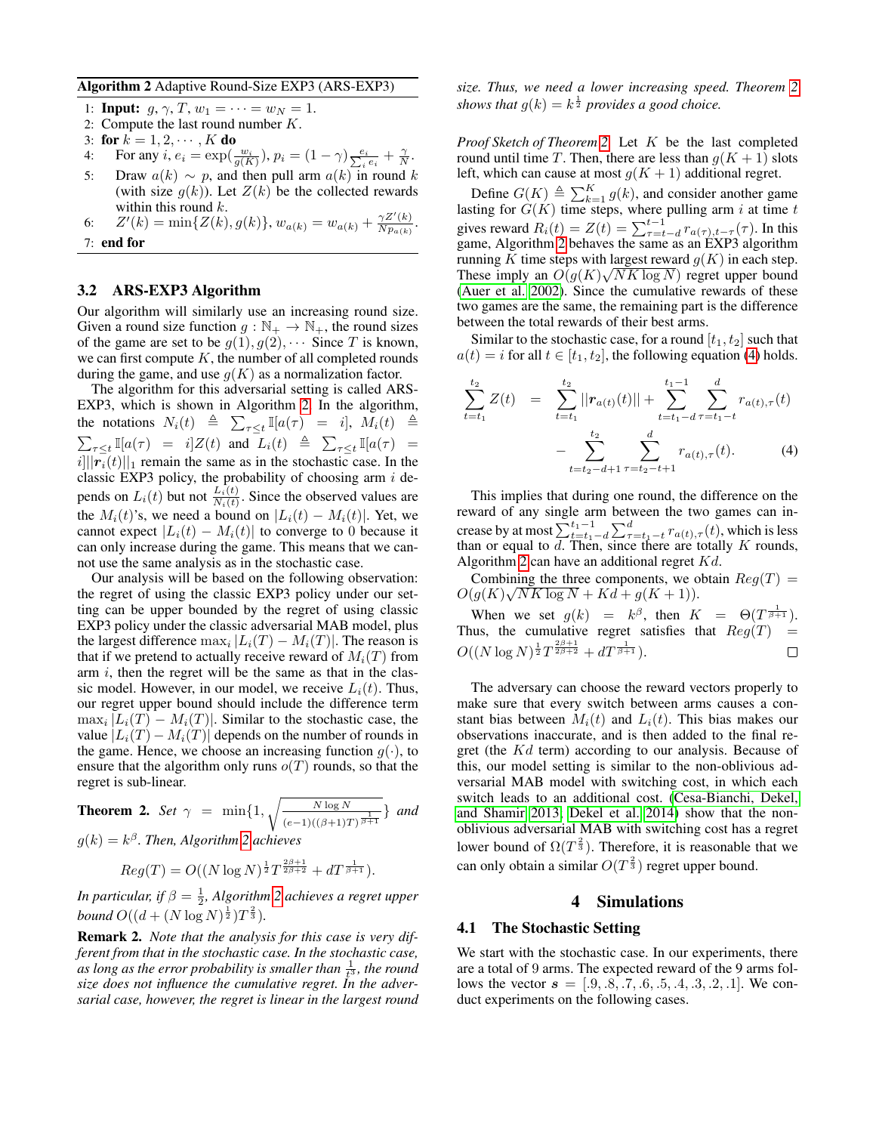<span id="page-4-1"></span>Algorithm 2 Adaptive Round-Size EXP3 (ARS-EXP3)

1: **Input:** 
$$
g, \gamma, T, w_1 = \cdots = w_N = 1.
$$

- 2: Compute the last round number  $K$ .
- 3: for  $k = 1, 2, \dots, K$  do
- 4: For any  $i, e_i = \exp(\frac{w_i}{g(K)})$ ,  $p_i = (1 \gamma) \frac{e_i}{\sum_i e_i} + \frac{\gamma}{N}$ .
- 5: Draw  $a(k) \sim p$ , and then pull arm  $a(k)$  in round k (with size  $g(k)$ ). Let  $Z(k)$  be the collected rewards within this round  $k$ .
- 6:  $Z'(k) = \min\{Z(k), g(k)\}, w_{a(k)} = w_{a(k)} + \frac{\gamma Z'(k)}{N R_{a(k)}}$  $\frac{\gamma Z_{\parallel}(k)}{N p_{a(k)}}$ . 7: end for

## <span id="page-4-0"></span>3.2 ARS-EXP3 Algorithm

Our algorithm will similarly use an increasing round size. Given a round size function  $g : \mathbb{N}_+ \to \mathbb{N}_+$ , the round sizes of the game are set to be  $g(1), g(2), \cdots$  Since T is known, we can first compute  $K$ , the number of all completed rounds during the game, and use  $g(K)$  as a normalization factor.

The algorithm for this adversarial setting is called ARS-EXP3, which is shown in Algorithm [2.](#page-4-1) In the algorithm, the notations  $N_i(t) \triangleq \sum_{\tau \leq t} \mathbb{I}[a(\tau) = i], M_i(t) \triangleq$  $\sum_{\tau \leq t} \mathbb{I}[a(\tau) = i] Z(t)$  and  $L_i(t) \triangleq \sum_{\tau \leq t} \mathbb{I}[a(\tau) =$  $||r_i(t)||_1$  remain the same as in the stochastic case. In the classic EXP3 policy, the probability of choosing arm  $i$  depends on  $L_i(t)$  but not  $\frac{L_i(t)}{N_i(t)}$ . Since the observed values are the  $M_i(t)$ 's, we need a bound on  $|L_i(t) - M_i(t)|$ . Yet, we cannot expect  $|L_i(t) - M_i(t)|$  to converge to 0 because it can only increase during the game. This means that we cannot use the same analysis as in the stochastic case.

Our analysis will be based on the following observation: the regret of using the classic EXP3 policy under our setting can be upper bounded by the regret of using classic EXP3 policy under the classic adversarial MAB model, plus the largest difference  $\max_i |L_i(T) - M_i(T)|$ . The reason is that if we pretend to actually receive reward of  $M_i(T)$  from arm  $i$ , then the regret will be the same as that in the classic model. However, in our model, we receive  $L_i(t)$ . Thus, our regret upper bound should include the difference term  $\max_i |L_i(T) - M_i(T)|$ . Similar to the stochastic case, the value  $|L_i(T) - M_i(T)|$  depends on the number of rounds in the game. Hence, we choose an increasing function  $q(\cdot)$ , to ensure that the algorithm only runs  $o(T)$  rounds, so that the regret is sub-linear.

<span id="page-4-2"></span>**Theorem 2.** Set 
$$
\gamma = \min\{1, \sqrt{\frac{N \log N}{(e-1)((\beta+1)T)^{\frac{1}{\beta+1}}}}\}
$$
 and

 $g(k) = k^{\beta}$ . Then, Algorithm [2](#page-4-1) achieves

$$
Reg(T) = O((N \log N)^{\frac{1}{2}} T^{\frac{2\beta+1}{2\beta+2}} + dT^{\frac{1}{\beta+1}}).
$$

*In particular, if*  $\beta = \frac{1}{2}$ *, Algorithm [2](#page-4-1) achieves a regret upper bound*  $O((d + (N \log N)^{\frac{1}{2}})T^{\frac{2}{3}})$ *.* 

Remark 2. *Note that the analysis for this case is very different from that in the stochastic case. In the stochastic case,* as long as the error probability is smaller than  $\frac{1}{t^3}$ , the round *size does not influence the cumulative regret. In the adversarial case, however, the regret is linear in the largest round* *size. Thus, we need a lower increasing speed. Theorem [2](#page-4-2)* shows that  $g(k) = k^{\frac{1}{2}}$  provides a good choice.

*Proof Sketch of Theorem [2.](#page-4-2)* Let K be the last completed round until time T. Then, there are less than  $g(K + 1)$  slots left, which can cause at most  $g(K + 1)$  additional regret.

Define  $G(K) \triangleq \sum_{k=1}^{K} g(k)$ , and consider another game lasting for  $G(K)$  time steps, where pulling arm i at time t gives reward  $R_i(t) = Z(t) = \sum_{\tau=t-d}^{t-1} r_{a(\tau),t-\tau}(\tau)$ . In this game, Algorithm [2](#page-4-1) behaves the same as an EXP3 algorithm running K time steps with largest reward  $g(K)$  in each step. These imply an  $O(g(K)\sqrt{NK \log N})$  regret upper bound [\(Auer et al. 2002\)](#page-7-8). Since the cumulative rewards of these two games are the same, the remaining part is the difference between the total rewards of their best arms.

Similar to the stochastic case, for a round  $[t_1, t_2]$  such that  $a(t) = i$  for all  $t \in [t_1, t_2]$ , the following equation [\(4\)](#page-4-3) holds.

<span id="page-4-3"></span>
$$
\sum_{t=t_1}^{t_2} Z(t) = \sum_{t=t_1}^{t_2} ||r_{a(t)}(t)|| + \sum_{t=t_1-d}^{t_1-1} \sum_{\tau=t_1-t}^{d} r_{a(t),\tau}(t) - \sum_{t=t_2-d+1}^{t_2} \sum_{\tau=t_2-t+1}^{d} r_{a(t),\tau}(t).
$$
 (4)

This implies that during one round, the difference on the reward of any single arm between the two games can increase by at most  $\sum_{t=t_1-d}^{t_1-1} \sum_{\tau=t_1-t}^{d} r_{a(t),\tau}(t)$ , which is less than or equal to  $d$ . Then, since there are totally  $K$  rounds, Algorithm [2](#page-4-1) can have an additional regret  $Kd$ .

Combining the three components, we obtain  $Reg(T) =$  $O(g(K)\sqrt{NK \log N} + Kd + g(K+1)).$ 

When we set  $g(k) = k^{\beta}$ , then  $K = \Theta(T^{\frac{1}{\beta+1}})$ . Thus, the cumulative regret satisfies that  $Reg(T) =$  $O((N \log N)^{\frac{1}{2}} T^{\frac{2\beta+1}{2\beta+2}} + dT^{\frac{1}{\beta+1}}).$  $\Box$ 

The adversary can choose the reward vectors properly to make sure that every switch between arms causes a constant bias between  $M_i(t)$  and  $L_i(t)$ . This bias makes our observations inaccurate, and is then added to the final regret (the Kd term) according to our analysis. Because of this, our model setting is similar to the non-oblivious adversarial MAB model with switching cost, in which each switch leads to an additional cost. [\(Cesa-Bianchi, Dekel,](#page-7-28) [and Shamir 2013;](#page-7-28) [Dekel et al. 2014\)](#page-7-29) show that the nonoblivious adversarial MAB with switching cost has a regret lower bound of  $\Omega(T^{\frac{2}{3}})$ . Therefore, it is reasonable that we can only obtain a similar  $O(T^{\frac{2}{3}})$  regret upper bound.

#### 4 Simulations

#### 4.1 The Stochastic Setting

We start with the stochastic case. In our experiments, there are a total of 9 arms. The expected reward of the 9 arms follows the vector  $s = [.9, .8, .7, .6, .5, .4, .3, .2, .1]$ . We conduct experiments on the following cases.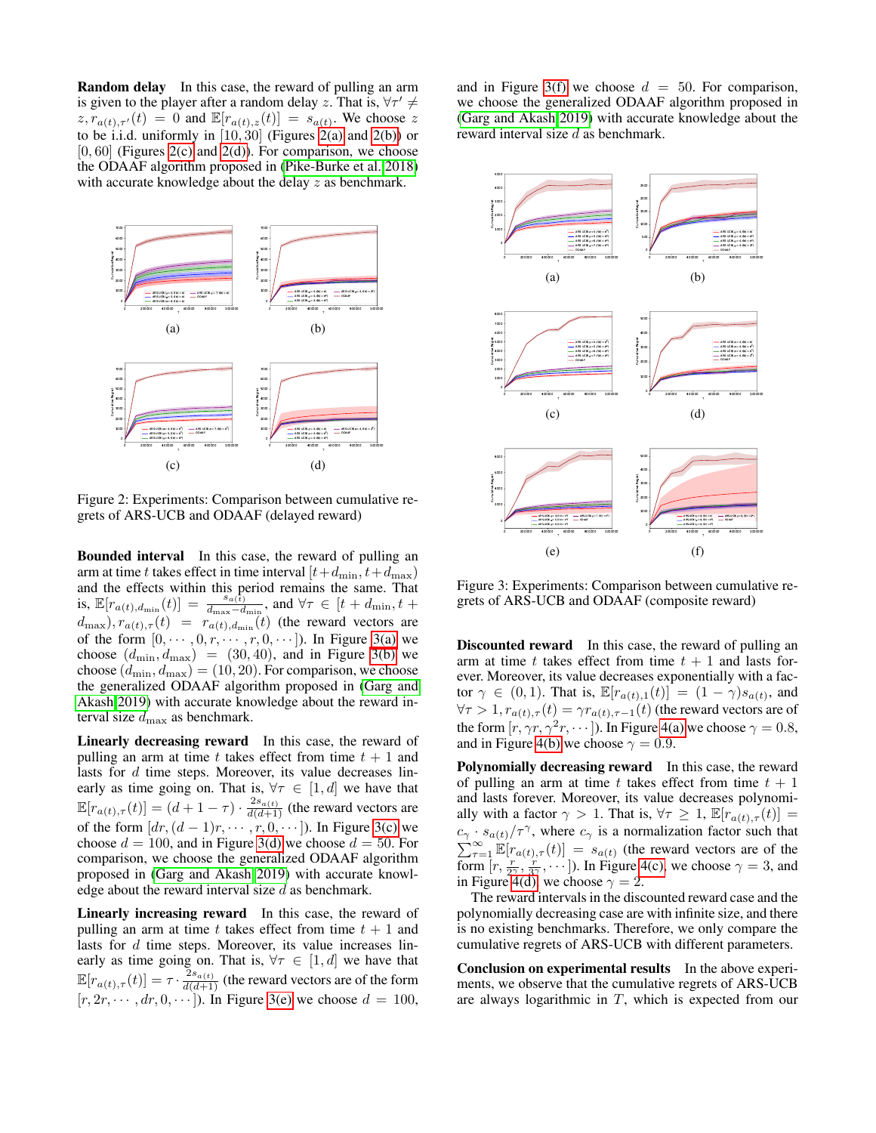Random delay In this case, the reward of pulling an arm is given to the player after a random delay z. That is,  $\forall \tau' \neq$  $z, \overline{r}_{a(t),\tau'}(t) = 0$  and  $\mathbb{E}[r_{a(t),z}(t)] = s_{a(t)}$ . We choose z to be i.i.d. uniformly in  $[10, 30]$  (Figures [2\(a\)](#page-5-0) and [2\(b\)\)](#page-5-1) or  $[0, 60]$  (Figures [2\(c\)](#page-5-2) and [2\(d\)\)](#page-5-3). For comparison, we choose the ODAAF algorithm proposed in [\(Pike-Burke et al. 2018\)](#page-7-12) with accurate knowledge about the delay z as benchmark.

<span id="page-5-1"></span><span id="page-5-0"></span>

<span id="page-5-3"></span><span id="page-5-2"></span>Figure 2: Experiments: Comparison between cumulative regrets of ARS-UCB and ODAAF (delayed reward)

Bounded interval In this case, the reward of pulling an arm at time t takes effect in time interval  $[t+d_{\min}, t+d_{\max})$ and the effects within this period remains the same. That<br>is,  $\mathbb{E}[r_{a(t),d_{\min}}(t)] = \frac{s_{a(t)}}{d_{\max}-d_{\min}}$ , and  $\forall \tau \in [t+d_{\min}, t+$  $(d_{\text{max}}), r_{a(t),\tau}(t) = r_{a(t),d_{\text{min}}}(t)$  (the reward vectors are of the form  $[0, \cdots, 0, r, \cdots, r, 0, \cdots]$ ). In Figure [3\(a\)](#page-5-4) we choose  $(d_{\text{min}}, d_{\text{max}})$  = (30,40), and in Figure [3\(b\)](#page-5-5) we choose  $(d_{\min}, d_{\max}) = (10, 20)$ . For comparison, we choose the generalized ODAAF algorithm proposed in [\(Garg and](#page-7-24) [Akash 2019\)](#page-7-24) with accurate knowledge about the reward interval size  $d_{\text{max}}$  as benchmark.

Linearly decreasing reward In this case, the reward of pulling an arm at time t takes effect from time  $t + 1$  and lasts for d time steps. Moreover, its value decreases linearly as time going on. That is,  $\forall \tau \in [1, d]$  we have that  $\mathbb{E}[r_{a(t),\tau}(t)] = (d+1-\tau) \cdot \frac{2s_{a(t)}}{d(d+1)}$  (the reward vectors are of the form  $[dr, (d-1)r, \cdots, r, 0, \cdots]$ ). In Figure [3\(c\)](#page-5-6) we choose  $d = 100$ , and in Figure [3\(d\)](#page-5-7) we choose  $d = 50$ . For comparison, we choose the generalized ODAAF algorithm proposed in [\(Garg and Akash 2019\)](#page-7-24) with accurate knowledge about the reward interval size  $d$  as benchmark.

Linearly increasing reward In this case, the reward of pulling an arm at time t takes effect from time  $t + 1$  and lasts for d time steps. Moreover, its value increases linearly as time going on. That is,  $\forall \tau \in [1, d]$  we have that  $\mathbb{E}[r_{a(t),\tau}(t)] = \tau \cdot \frac{2s_{a(t)}}{d(d+1)}$  (the reward vectors are of the form  $[r, 2r, \cdots, dr, 0, \cdots]$ . In Figure [3\(e\)](#page-5-8) we choose  $d = 100$ ,

and in Figure [3\(f\)](#page-5-9) we choose  $d = 50$ . For comparison, we choose the generalized ODAAF algorithm proposed in [\(Garg and Akash 2019\)](#page-7-24) with accurate knowledge about the reward interval size d as benchmark.

<span id="page-5-5"></span><span id="page-5-4"></span>

<span id="page-5-9"></span><span id="page-5-8"></span><span id="page-5-7"></span><span id="page-5-6"></span>Figure 3: Experiments: Comparison between cumulative regrets of ARS-UCB and ODAAF (composite reward)

Discounted reward In this case, the reward of pulling an arm at time t takes effect from time  $t + 1$  and lasts forever. Moreover, its value decreases exponentially with a factor  $\gamma \in (0,1)$ . That is,  $\mathbb{E}[r_{a(t),1}(t)] = (1 - \gamma)s_{a(t)}$ , and  $\forall \tau > 1, r_{a(t),\tau}(t) = \gamma r_{a(t),\tau-1}(t)$  (the reward vectors are of the form  $[r, \gamma r, \gamma^2 r, \cdots]$ ). In Figure [4\(a\)](#page-6-0) we choose  $\gamma = 0.8$ , and in Figure [4\(b\)](#page-6-1) we choose  $\gamma = 0.9$ .

Polynomially decreasing reward In this case, the reward of pulling an arm at time t takes effect from time  $t + 1$ and lasts forever. Moreover, its value decreases polynomially with a factor  $\gamma > 1$ . That is,  $\forall \tau \geq 1$ ,  $\mathbb{E}[r_{a(t), \tau}(t)] =$  $c_{\gamma} \cdot s_{a(t)}/\tau^{\gamma}$ , where  $c_{\gamma}$  is a normalization factor such that  $\sum_{\tau=1}^{\infty} \mathbb{E}[r_{a(t),\tau}(t)] = s_{a(t)}$  (the reward vectors are of the form  $[r, \frac{r}{2\gamma}, \frac{r}{3\gamma}, \cdots]$ ). In Figure [4\(c\),](#page-6-2) we choose  $\gamma = 3$ , and in Figure [4\(d\),](#page-6-3) we choose  $\gamma = 2$ .

The reward intervals in the discounted reward case and the polynomially decreasing case are with infinite size, and there is no existing benchmarks. Therefore, we only compare the cumulative regrets of ARS-UCB with different parameters.

Conclusion on experimental results In the above experiments, we observe that the cumulative regrets of ARS-UCB are always logarithmic in  $T$ , which is expected from our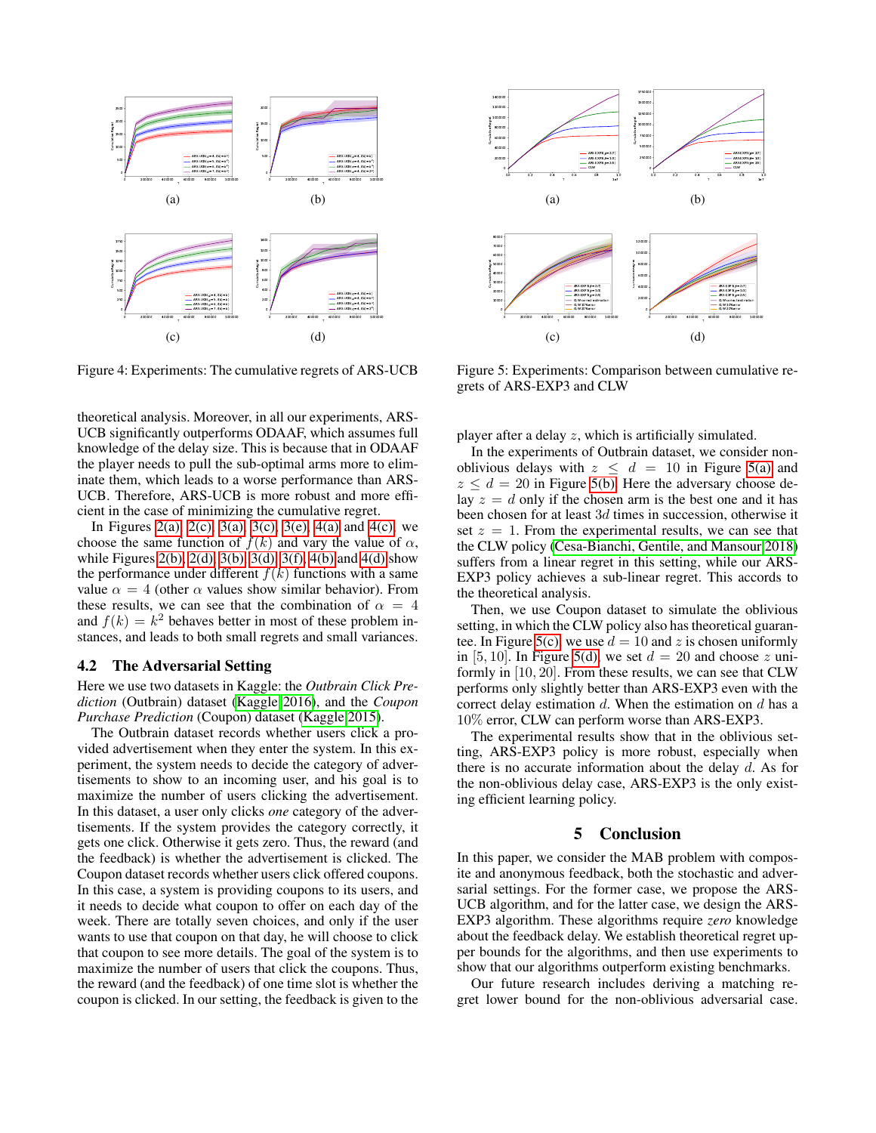<span id="page-6-1"></span><span id="page-6-0"></span>

<span id="page-6-3"></span><span id="page-6-2"></span>Figure 4: Experiments: The cumulative regrets of ARS-UCB

theoretical analysis. Moreover, in all our experiments, ARS-UCB significantly outperforms ODAAF, which assumes full knowledge of the delay size. This is because that in ODAAF the player needs to pull the sub-optimal arms more to eliminate them, which leads to a worse performance than ARS-UCB. Therefore, ARS-UCB is more robust and more efficient in the case of minimizing the cumulative regret.

In Figures [2\(a\),](#page-5-0) [2\(c\),](#page-5-2) [3\(a\),](#page-5-4) [3\(c\),](#page-5-6) [3\(e\),](#page-5-8) [4\(a\)](#page-6-0) and [4\(c\),](#page-6-2) we choose the same function of  $f(k)$  and vary the value of  $\alpha$ , while Figures [2\(b\),](#page-5-1) [2\(d\),](#page-5-3) [3\(b\),](#page-5-5) [3\(d\),](#page-5-7) [3\(f\),](#page-5-9) [4\(b\)](#page-6-1) and [4\(d\)](#page-6-3) show the performance under different  $f(k)$  functions with a same value  $\alpha = 4$  (other  $\alpha$  values show similar behavior). From these results, we can see that the combination of  $\alpha = 4$ and  $f(k) = k^2$  behaves better in most of these problem instances, and leads to both small regrets and small variances.

#### 4.2 The Adversarial Setting

Here we use two datasets in Kaggle: the *Outbrain Click Prediction* (Outbrain) dataset [\(Kaggle 2016\)](#page-7-30), and the *Coupon Purchase Prediction* (Coupon) dataset [\(Kaggle 2015\)](#page-7-31).

The Outbrain dataset records whether users click a provided advertisement when they enter the system. In this experiment, the system needs to decide the category of advertisements to show to an incoming user, and his goal is to maximize the number of users clicking the advertisement. In this dataset, a user only clicks *one* category of the advertisements. If the system provides the category correctly, it gets one click. Otherwise it gets zero. Thus, the reward (and the feedback) is whether the advertisement is clicked. The Coupon dataset records whether users click offered coupons. In this case, a system is providing coupons to its users, and it needs to decide what coupon to offer on each day of the week. There are totally seven choices, and only if the user wants to use that coupon on that day, he will choose to click that coupon to see more details. The goal of the system is to maximize the number of users that click the coupons. Thus, the reward (and the feedback) of one time slot is whether the coupon is clicked. In our setting, the feedback is given to the

<span id="page-6-5"></span><span id="page-6-4"></span>

<span id="page-6-7"></span><span id="page-6-6"></span>Figure 5: Experiments: Comparison between cumulative regrets of ARS-EXP3 and CLW

player after a delay z, which is artificially simulated.

In the experiments of Outbrain dataset, we consider nonoblivious delays with  $z \leq d = 10$  in Figure [5\(a\)](#page-6-4) and  $z \le d = 20$  in Figure [5\(b\).](#page-6-5) Here the adversary choose delay  $z = d$  only if the chosen arm is the best one and it has been chosen for at least 3d times in succession, otherwise it set  $z = 1$ . From the experimental results, we can see that the CLW policy [\(Cesa-Bianchi, Gentile, and Mansour 2018\)](#page-7-13) suffers from a linear regret in this setting, while our ARS-EXP3 policy achieves a sub-linear regret. This accords to the theoretical analysis.

Then, we use Coupon dataset to simulate the oblivious setting, in which the CLW policy also has theoretical guaran-tee. In Figure [5\(c\),](#page-6-6) we use  $d = 10$  and z is chosen uniformly in [5, 10]. In Figure [5\(d\),](#page-6-7) we set  $d = 20$  and choose z uniformly in [10, 20]. From these results, we can see that CLW performs only slightly better than ARS-EXP3 even with the correct delay estimation  $d$ . When the estimation on  $d$  has a 10% error, CLW can perform worse than ARS-EXP3.

The experimental results show that in the oblivious setting, ARS-EXP3 policy is more robust, especially when there is no accurate information about the delay  $d$ . As for the non-oblivious delay case, ARS-EXP3 is the only existing efficient learning policy.

## 5 Conclusion

In this paper, we consider the MAB problem with composite and anonymous feedback, both the stochastic and adversarial settings. For the former case, we propose the ARS-UCB algorithm, and for the latter case, we design the ARS-EXP3 algorithm. These algorithms require *zero* knowledge about the feedback delay. We establish theoretical regret upper bounds for the algorithms, and then use experiments to show that our algorithms outperform existing benchmarks.

Our future research includes deriving a matching regret lower bound for the non-oblivious adversarial case.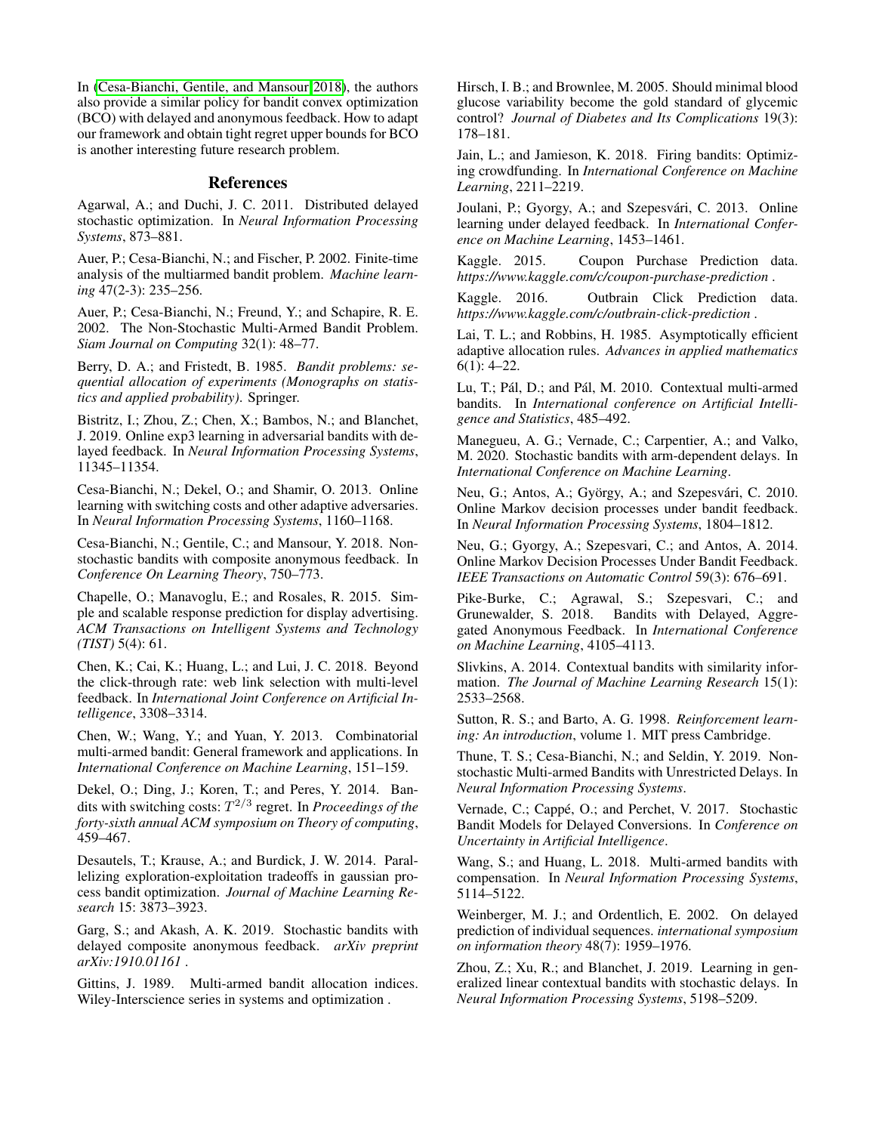In [\(Cesa-Bianchi, Gentile, and Mansour 2018\)](#page-7-13), the authors also provide a similar policy for bandit convex optimization (BCO) with delayed and anonymous feedback. How to adapt our framework and obtain tight regret upper bounds for BCO is another interesting future research problem.

## References

<span id="page-7-16"></span>Agarwal, A.; and Duchi, J. C. 2011. Distributed delayed stochastic optimization. In *Neural Information Processing Systems*, 873–881.

<span id="page-7-10"></span>Auer, P.; Cesa-Bianchi, N.; and Fischer, P. 2002. Finite-time analysis of the multiarmed bandit problem. *Machine learning* 47(2-3): 235–256.

<span id="page-7-8"></span>Auer, P.; Cesa-Bianchi, N.; Freund, Y.; and Schapire, R. E. 2002. The Non-Stochastic Multi-Armed Bandit Problem. *Siam Journal on Computing* 32(1): 48–77.

<span id="page-7-0"></span>Berry, D. A.; and Fristedt, B. 1985. *Bandit problems: sequential allocation of experiments (Monographs on statistics and applied probability)*. Springer.

<span id="page-7-23"></span>Bistritz, I.; Zhou, Z.; Chen, X.; Bambos, N.; and Blanchet, J. 2019. Online exp3 learning in adversarial bandits with delayed feedback. In *Neural Information Processing Systems*, 11345–11354.

<span id="page-7-28"></span>Cesa-Bianchi, N.; Dekel, O.; and Shamir, O. 2013. Online learning with switching costs and other adaptive adversaries. In *Neural Information Processing Systems*, 1160–1168.

<span id="page-7-13"></span>Cesa-Bianchi, N.; Gentile, C.; and Mansour, Y. 2018. Nonstochastic bandits with composite anonymous feedback. In *Conference On Learning Theory*, 750–773.

<span id="page-7-3"></span>Chapelle, O.; Manavoglu, E.; and Rosales, R. 2015. Simple and scalable response prediction for display advertising. *ACM Transactions on Intelligent Systems and Technology (TIST)* 5(4): 61.

<span id="page-7-2"></span>Chen, K.; Cai, K.; Huang, L.; and Lui, J. C. 2018. Beyond the click-through rate: web link selection with multi-level feedback. In *International Joint Conference on Artificial Intelligence*, 3308–3314.

<span id="page-7-4"></span>Chen, W.; Wang, Y.; and Yuan, Y. 2013. Combinatorial multi-armed bandit: General framework and applications. In *International Conference on Machine Learning*, 151–159.

<span id="page-7-29"></span>Dekel, O.; Ding, J.; Koren, T.; and Peres, Y. 2014. Bandits with switching costs: T 2/3 regret. In *Proceedings of the forty-sixth annual ACM symposium on Theory of computing*, 459–467.

<span id="page-7-17"></span>Desautels, T.; Krause, A.; and Burdick, J. W. 2014. Parallelizing exploration-exploitation tradeoffs in gaussian process bandit optimization. *Journal of Machine Learning Research* 15: 3873–3923.

<span id="page-7-24"></span>Garg, S.; and Akash, A. K. 2019. Stochastic bandits with delayed composite anonymous feedback. *arXiv preprint arXiv:1910.01161* .

<span id="page-7-9"></span>Gittins, J. 1989. Multi-armed bandit allocation indices. Wiley-Interscience series in systems and optimization .

<span id="page-7-11"></span>Hirsch, I. B.; and Brownlee, M. 2005. Should minimal blood glucose variability become the gold standard of glycemic control? *Journal of Diabetes and Its Complications* 19(3): 178–181.

<span id="page-7-5"></span>Jain, L.; and Jamieson, K. 2018. Firing bandits: Optimizing crowdfunding. In *International Conference on Machine Learning*, 2211–2219.

<span id="page-7-15"></span>Joulani, P.; Gyorgy, A.; and Szepesvári, C. 2013. Online learning under delayed feedback. In *International Conference on Machine Learning*, 1453–1461.

<span id="page-7-31"></span>Kaggle. 2015. Coupon Purchase Prediction data. *https://www.kaggle.com/c/coupon-purchase-prediction* .

<span id="page-7-30"></span>Kaggle. 2016. Outbrain Click Prediction data. *https://www.kaggle.com/c/outbrain-click-prediction* .

<span id="page-7-7"></span>Lai, T. L.; and Robbins, H. 1985. Asymptotically efficient adaptive allocation rules. *Advances in applied mathematics* 6(1): 4–22.

<span id="page-7-26"></span>Lu, T.; Pál, D.; and Pál, M. 2010. Contextual multi-armed bandits. In *International conference on Artificial Intelligence and Statistics*, 485–492.

<span id="page-7-18"></span>Manegueu, A. G.; Vernade, C.; Carpentier, A.; and Valko, M. 2020. Stochastic bandits with arm-dependent delays. In *International Conference on Machine Learning*.

<span id="page-7-14"></span>Neu, G.; Antos, A.; György, A.; and Szepesvári, C. 2010. Online Markov decision processes under bandit feedback. In *Neural Information Processing Systems*, 1804–1812.

<span id="page-7-20"></span>Neu, G.; Gyorgy, A.; Szepesvari, C.; and Antos, A. 2014. Online Markov Decision Processes Under Bandit Feedback. *IEEE Transactions on Automatic Control* 59(3): 676–691.

<span id="page-7-12"></span>Pike-Burke, C.; Agrawal, S.; Szepesvari, C.; and Grunewalder, S. 2018. Bandits with Delayed, Aggregated Anonymous Feedback. In *International Conference on Machine Learning*, 4105–4113.

<span id="page-7-27"></span>Slivkins, A. 2014. Contextual bandits with similarity information. *The Journal of Machine Learning Research* 15(1): 2533–2568.

<span id="page-7-1"></span>Sutton, R. S.; and Barto, A. G. 1998. *Reinforcement learning: An introduction*, volume 1. MIT press Cambridge.

<span id="page-7-22"></span>Thune, T. S.; Cesa-Bianchi, N.; and Seldin, Y. 2019. Nonstochastic Multi-armed Bandits with Unrestricted Delays. In *Neural Information Processing Systems*.

<span id="page-7-25"></span>Vernade, C.; Cappé, O.; and Perchet, V. 2017. Stochastic Bandit Models for Delayed Conversions. In *Conference on Uncertainty in Artificial Intelligence*.

<span id="page-7-6"></span>Wang, S.; and Huang, L. 2018. Multi-armed bandits with compensation. In *Neural Information Processing Systems*, 5114–5122.

<span id="page-7-19"></span>Weinberger, M. J.; and Ordentlich, E. 2002. On delayed prediction of individual sequences. *international symposium on information theory* 48(7): 1959–1976.

<span id="page-7-21"></span>Zhou, Z.; Xu, R.; and Blanchet, J. 2019. Learning in generalized linear contextual bandits with stochastic delays. In *Neural Information Processing Systems*, 5198–5209.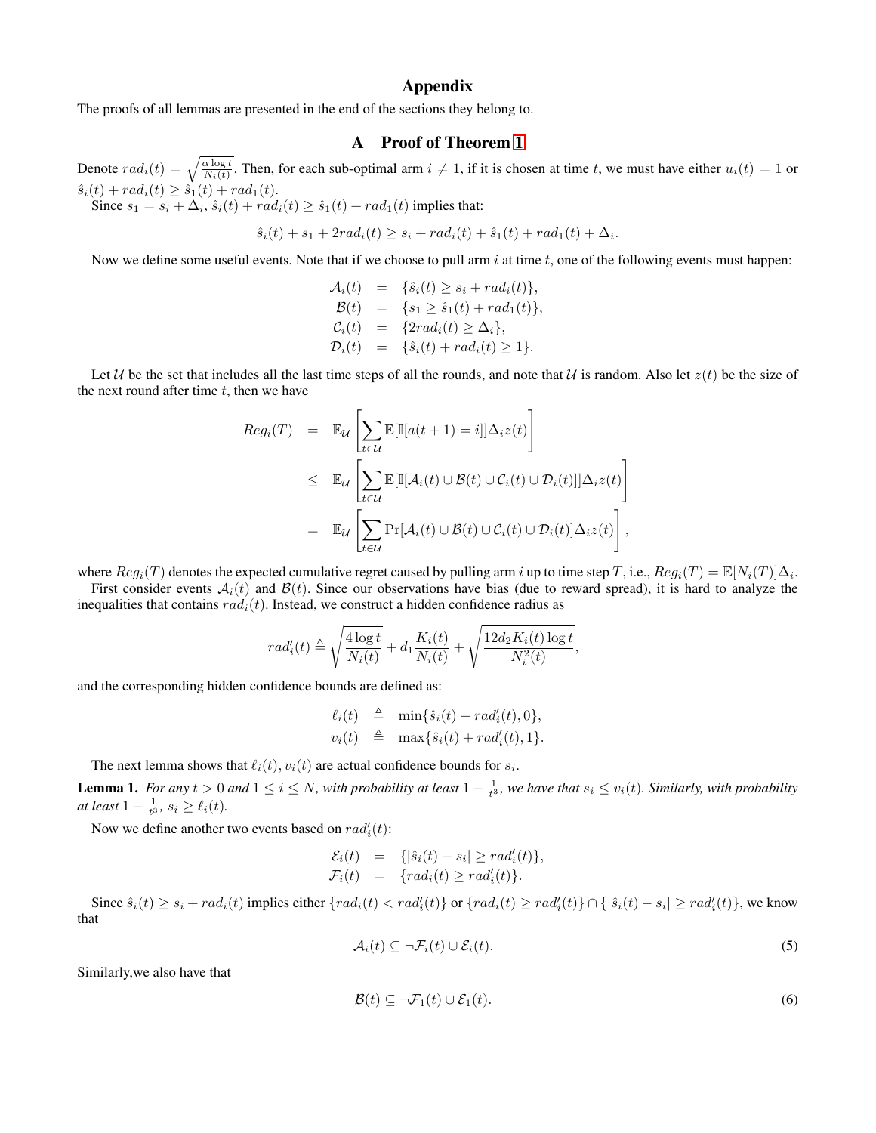## Appendix

The proofs of all lemmas are presented in the end of the sections they belong to.

## A Proof of Theorem [1](#page-2-7)

Denote  $rad_i(t) = \sqrt{\frac{\alpha \log t}{N_i(t)}}$ . Then, for each sub-optimal arm  $i \neq 1$ , if it is chosen at time t, we must have either  $u_i(t) = 1$  or  $\hat{s}_i(t) + rad_i(t) \geq \hat{s}_1(t) + rad_1(t).$ 

Since  $s_1 = s_i + \Delta_i$ ,  $\hat{s}_i(t) + rad_i(t) \geq \hat{s}_1(t) + rad_1(t)$  implies that:

 $\hat{s}_i(t) + s_1 + 2rad_i(t) \geq s_i + rad_i(t) + \hat{s}_1(t) + rad_1(t) + \Delta_i.$ 

Now we define some useful events. Note that if we choose to pull arm  $i$  at time  $t$ , one of the following events must happen:

$$
\mathcal{A}_i(t) = \{\hat{s}_i(t) \ge s_i + rad_i(t)\}, \n\mathcal{B}(t) = \{s_1 \ge \hat{s}_1(t) + rad_1(t)\}, \n\mathcal{C}_i(t) = \{2rad_i(t) \ge \Delta_i\}, \n\mathcal{D}_i(t) = \{\hat{s}_i(t) + rad_i(t) \ge 1\}.
$$

Let U be the set that includes all the last time steps of all the rounds, and note that U is random. Also let  $z(t)$  be the size of the next round after time  $t$ , then we have

<span id="page-8-0"></span>
$$
Reg_i(T) = \mathbb{E}_{\mathcal{U}}\left[\sum_{t \in \mathcal{U}} \mathbb{E}[\mathbb{I}[a(t+1) = i]]\Delta_i z(t)\right]
$$
  
\n
$$
\leq \mathbb{E}_{\mathcal{U}}\left[\sum_{t \in \mathcal{U}} \mathbb{E}[\mathbb{I}[\mathcal{A}_i(t) \cup \mathcal{B}(t) \cup \mathcal{C}_i(t) \cup \mathcal{D}_i(t)]]\Delta_i z(t)\right]
$$
  
\n
$$
= \mathbb{E}_{\mathcal{U}}\left[\sum_{t \in \mathcal{U}} \Pr[\mathcal{A}_i(t) \cup \mathcal{B}(t) \cup \mathcal{C}_i(t) \cup \mathcal{D}_i(t)]\Delta_i z(t)\right],
$$

where  $Reg_i(T)$  denotes the expected cumulative regret caused by pulling arm i up to time step T, i.e.,  $Reg_i(T) = \mathbb{E}[N_i(T)]\Delta_i$ .

First consider events  $A_i(t)$  and  $B(t)$ . Since our observations have bias (due to reward spread), it is hard to analyze the inequalities that contains  $rad_i(t)$ . Instead, we construct a hidden confidence radius as

$$
rad'_{i}(t) \triangleq \sqrt{\frac{4 \log t}{N_{i}(t)}} + d_{1} \frac{K_{i}(t)}{N_{i}(t)} + \sqrt{\frac{12 d_{2} K_{i}(t) \log t}{N_{i}^{2}(t)}},
$$

and the corresponding hidden confidence bounds are defined as:

$$
\ell_i(t) \triangleq \min\{\hat{s}_i(t) - rad'_i(t), 0\},
$$
  

$$
v_i(t) \triangleq \max\{\hat{s}_i(t) + rad'_i(t), 1\}.
$$

The next lemma shows that  $\ell_i(t), v_i(t)$  are actual confidence bounds for  $s_i$ .

<span id="page-8-2"></span>**Lemma 1.** For any  $t > 0$  and  $1 \le i \le N$ , with probability at least  $1 - \frac{1}{t^3}$ , we have that  $s_i \le v_i(t)$ . Similarly, with probability *at least*  $1 - \frac{1}{t^3}$ *, s<sub>i</sub>*  $\geq \ell_i(t)$ *.* 

Now we define another two events based on  $rad_i'(t)$ :

$$
\mathcal{E}_i(t) = \{ |\hat{s}_i(t) - s_i| \geq rad'_i(t) \},
$$
  

$$
\mathcal{F}_i(t) = \{ rad_i(t) \geq rad'_i(t) \}.
$$

Since  $\hat{s}_i(t) \ge s_i + rad_i(t)$  implies either  $\{rad_i(t) < rad_i'(t)\}$  or  $\{rad_i(t) \ge rad_i'(t)\} \cap \{|\hat{s}_i(t) - s_i| \ge rad_i'(t)\}$ , we know that

$$
\mathcal{A}_i(t) \subseteq \neg \mathcal{F}_i(t) \cup \mathcal{E}_i(t). \tag{5}
$$

Similarly,we also have that

<span id="page-8-1"></span>
$$
\mathcal{B}(t) \subseteq \neg \mathcal{F}_1(t) \cup \mathcal{E}_1(t). \tag{6}
$$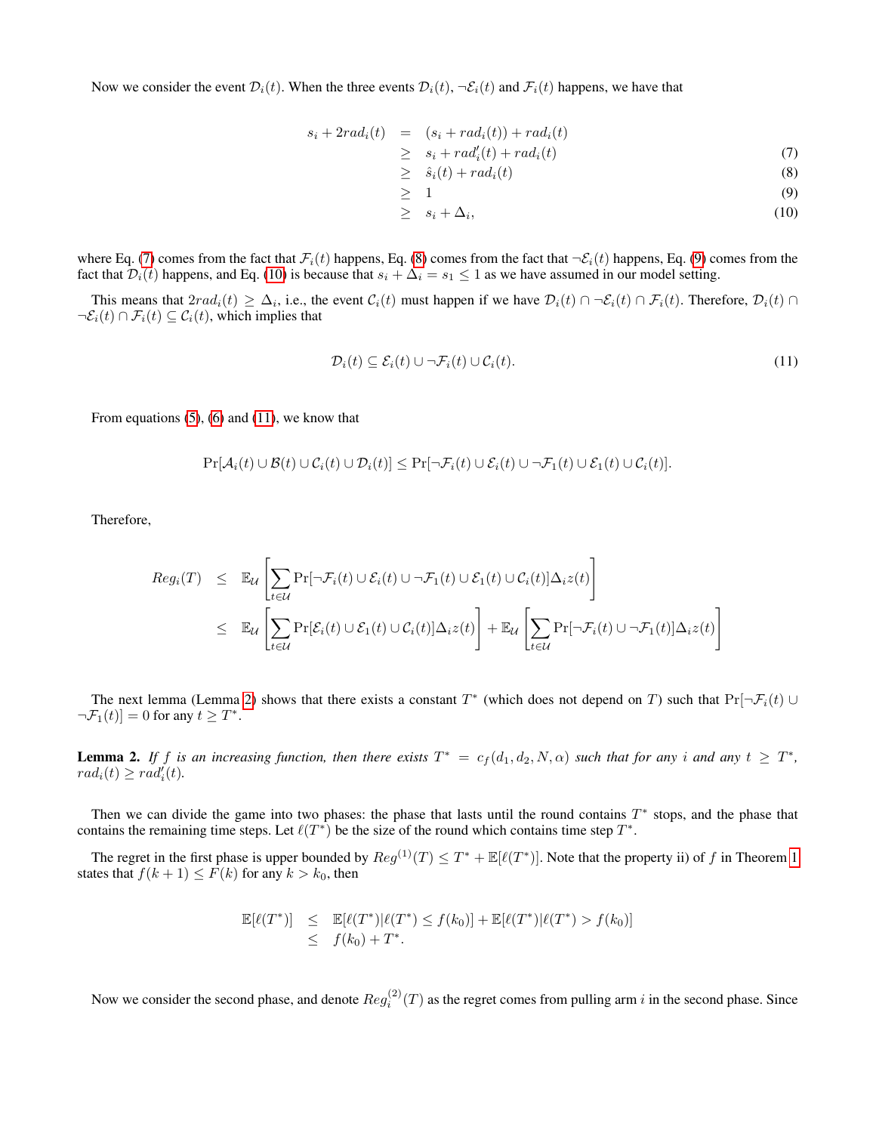Now we consider the event  $\mathcal{D}_i(t)$ . When the three events  $\mathcal{D}_i(t)$ ,  $\neg \mathcal{E}_i(t)$  and  $\mathcal{F}_i(t)$  happens, we have that

<span id="page-9-0"></span>
$$
s_i + 2rad_i(t) = (s_i + rad_i(t)) + rad_i(t)
$$

$$
\geq s_i + rad_i'(t) + rad_i(t) \tag{7}
$$

$$
\geq \hat{s}_i(t) + rad_i(t) \tag{8}
$$

$$
\geq 1 \tag{9}
$$

 $\geq s_i + \Delta_i,$  $, (10)$ 

where Eq. [\(7\)](#page-9-0) comes from the fact that  $\mathcal{F}_i(t)$  happens, Eq. [\(8\)](#page-9-0) comes from the fact that  $\neg \mathcal{E}_i(t)$  happens, Eq. [\(9\)](#page-9-0) comes from the fact that  $\mathcal{D}_i(t)$  happens, and Eq. [\(10\)](#page-9-0) is because that  $s_i + \Delta_i = s_1 \leq 1$  as we have assumed in our model setting.

This means that  $2rad_i(t) \geq \Delta_i$ , i.e., the event  $C_i(t)$  must happen if we have  $\mathcal{D}_i(t) \cap \mathcal{F}_i(t) \cap \mathcal{F}_i(t)$ . Therefore,  $\mathcal{D}_i(t) \cap$  $\neg \mathcal{E}_i(t) \cap \mathcal{F}_i(t) \subseteq \mathcal{C}_i(t)$ , which implies that

<span id="page-9-1"></span>
$$
\mathcal{D}_i(t) \subseteq \mathcal{E}_i(t) \cup \neg \mathcal{F}_i(t) \cup \mathcal{C}_i(t). \tag{11}
$$

From equations  $(5)$ ,  $(6)$  and  $(11)$ , we know that

$$
\Pr[\mathcal{A}_i(t) \cup \mathcal{B}(t) \cup \mathcal{C}_i(t) \cup \mathcal{D}_i(t)] \leq \Pr[\neg \mathcal{F}_i(t) \cup \mathcal{E}_i(t) \cup \neg \mathcal{F}_1(t) \cup \mathcal{E}_1(t) \cup \mathcal{C}_i(t)].
$$

Therefore,

<span id="page-9-3"></span>
$$
Reg_i(T) \leq \mathbb{E}_{\mathcal{U}}\left[\sum_{t \in \mathcal{U}} \Pr[\neg \mathcal{F}_i(t) \cup \mathcal{E}_i(t) \cup \neg \mathcal{F}_1(t) \cup \mathcal{E}_1(t) \cup \mathcal{C}_i(t)] \Delta_i z(t)\right]
$$
  

$$
\leq \mathbb{E}_{\mathcal{U}}\left[\sum_{t \in \mathcal{U}} \Pr[\mathcal{E}_i(t) \cup \mathcal{E}_1(t) \cup \mathcal{C}_i(t)] \Delta_i z(t)\right] + \mathbb{E}_{\mathcal{U}}\left[\sum_{t \in \mathcal{U}} \Pr[\neg \mathcal{F}_i(t) \cup \neg \mathcal{F}_1(t)] \Delta_i z(t)\right]
$$

The next lemma (Lemma [2\)](#page-9-2) shows that there exists a constant  $T^*$  (which does not depend on T) such that  $Pr[\neg \mathcal{F}_i(t) \cup$  $\neg \mathcal{F}_1(t)]=0$  for any  $t \geq T^*$ .

<span id="page-9-2"></span>**Lemma 2.** If f is an increasing function, then there exists  $T^* = c_f(d_1, d_2, N, \alpha)$  such that for any i and any  $t \geq T^*$ ,  $rad_i(t) \geq rad_i'(t)$ .

Then we can divide the game into two phases: the phase that lasts until the round contains  $T^*$  stops, and the phase that contains the remaining time steps. Let  $\ell(T^*)$  be the size of the round which contains time step  $T^*$ .

The regret in the first phase is upper bounded by  $Reg^{(1)}(T) \leq T^* + \mathbb{E}[\ell(T^*)]$ . Note that the property ii) of f in Theorem [1](#page-2-7) states that  $f(k + 1) \leq \overline{F}(k)$  for any  $k > k_0$ , then

$$
\mathbb{E}[\ell(T^*)] \leq \mathbb{E}[\ell(T^*)|\ell(T^*) \leq f(k_0)] + \mathbb{E}[\ell(T^*)|\ell(T^*) > f(k_0)]
$$
  
 
$$
\leq f(k_0) + T^*.
$$

Now we consider the second phase, and denote  $Reg_i^{(2)}(T)$  as the regret comes from pulling arm i in the second phase. Since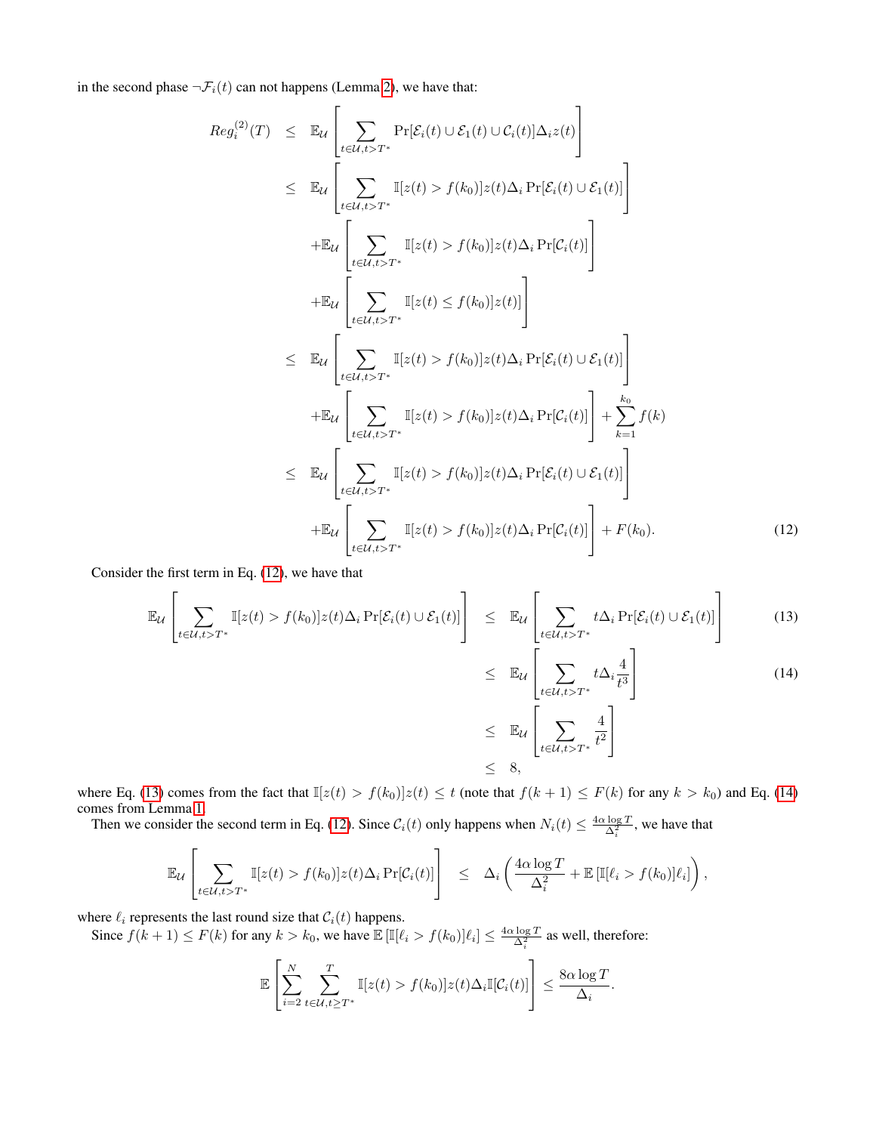in the second phase  $\neg \mathcal{F}_i(t)$  can not happens (Lemma [2\)](#page-9-2), we have that:

$$
Reg_i^{(2)}(T) \leq \mathbb{E}_{\mathcal{U}}\left[\sum_{t \in \mathcal{U}, t > T^*} \Pr[\mathcal{E}_i(t) \cup \mathcal{E}_1(t) \cup \mathcal{C}_i(t)] \Delta_i z(t)\right]
$$
  
\n
$$
\leq \mathbb{E}_{\mathcal{U}}\left[\sum_{t \in \mathcal{U}, t > T^*} \mathbb{I}[z(t) > f(k_0)] z(t) \Delta_i \Pr[\mathcal{E}_i(t) \cup \mathcal{E}_1(t)]\right]
$$
  
\n
$$
+ \mathbb{E}_{\mathcal{U}}\left[\sum_{t \in \mathcal{U}, t > T^*} \mathbb{I}[z(t) > f(k_0)] z(t) \Delta_i \Pr[\mathcal{C}_i(t)]\right]
$$
  
\n
$$
+ \mathbb{E}_{\mathcal{U}}\left[\sum_{t \in \mathcal{U}, t > T^*} \mathbb{I}[z(t) \leq f(k_0)] z(t)]\right]
$$
  
\n
$$
\leq \mathbb{E}_{\mathcal{U}}\left[\sum_{t \in \mathcal{U}, t > T^*} \mathbb{I}[z(t) > f(k_0)] z(t) \Delta_i \Pr[\mathcal{E}_i(t) \cup \mathcal{E}_1(t)]\right]
$$
  
\n
$$
+ \mathbb{E}_{\mathcal{U}}\left[\sum_{t \in \mathcal{U}, t > T^*} \mathbb{I}[z(t) > f(k_0)] z(t) \Delta_i \Pr[\mathcal{C}_i(t)]\right] + \sum_{k=1}^{k_0} f(k)
$$
  
\n
$$
\leq \mathbb{E}_{\mathcal{U}}\left[\sum_{t \in \mathcal{U}, t > T^*} \mathbb{I}[z(t) > f(k_0)] z(t) \Delta_i \Pr[\mathcal{E}_i(t) \cup \mathcal{E}_1(t)]\right]
$$
  
\n
$$
+ \mathbb{E}_{\mathcal{U}}\left[\sum_{t \in \mathcal{U}, t > T^*} \mathbb{I}[z(t) > f(k_0)] z(t) \Delta_i \Pr[\mathcal{C}_i(t)]\right] + F(k_0).
$$
 (12)

Consider the first term in Eq. [\(12\)](#page-9-3), we have that

<span id="page-10-0"></span>
$$
\mathbb{E}_{\mathcal{U}}\left[\sum_{t\in\mathcal{U},t>T^{*}}\mathbb{I}[z(t) > f(k_{0})]z(t)\Delta_{i}\Pr[\mathcal{E}_{i}(t)\cup\mathcal{E}_{1}(t)]\right] \leq \mathbb{E}_{\mathcal{U}}\left[\sum_{t\in\mathcal{U},t>T^{*}}t\Delta_{i}\Pr[\mathcal{E}_{i}(t)\cup\mathcal{E}_{1}(t)]\right]
$$
(13)

$$
\leq \mathbb{E}_{\mathcal{U}}\left[\sum_{t \in \mathcal{U}, t > T^*} t \Delta_i \frac{4}{t^3}\right]
$$
\n
$$
\leq \mathbb{E}_{\mathcal{U}}\left[\sum_{t \in \mathcal{U}, t > T^*} \frac{4}{t^2}\right]
$$
\n
$$
\leq 8,
$$
\n(14)

where Eq. [\(13\)](#page-10-0) comes from the fact that  $\mathbb{I}[z(t) > f(k_0)]z(t) \le t$  (note that  $f(k+1) \le F(k)$  for any  $k > k_0$ ) and Eq. [\(14\)](#page-10-0) comes from Lemma [1.](#page-8-2)

Then we consider the second term in Eq. [\(12\)](#page-9-3). Since  $C_i(t)$  only happens when  $N_i(t) \leq \frac{4\alpha \log T}{\Delta_i^2}$ , we have that

<span id="page-10-1"></span>
$$
\mathbb{E}_{\mathcal{U}}\left[\sum_{t\in\mathcal{U},t>T^*}\mathbb{I}[z(t) > f(k_0)]z(t)\Delta_i\Pr[\mathcal{C}_i(t)]\right] \leq \Delta_i\left(\frac{4\alpha\log T}{\Delta_i^2} + \mathbb{E}\left[\mathbb{I}[\ell_i > f(k_0)]\ell_i\right]\right),
$$

where  $\ell_i$  represents the last round size that  $C_i(t)$  happens.

Since  $f(k+1) \le F(k)$  for any  $k > k_0$ , we have  $\mathbb{E} \left[ \mathbb{I}[\ell_i > f(k_0)] \ell_i \right] \le \frac{4\alpha \log T}{\Delta_i^2}$  as well, therefore:

$$
\mathbb{E}\left[\sum_{i=2}^N \sum_{t \in \mathcal{U}, t \geq T^*}^T \mathbb{I}[z(t) > f(k_0)] z(t) \Delta_i \mathbb{I}[\mathcal{C}_i(t)]\right] \leq \frac{8\alpha \log T}{\Delta_i}.
$$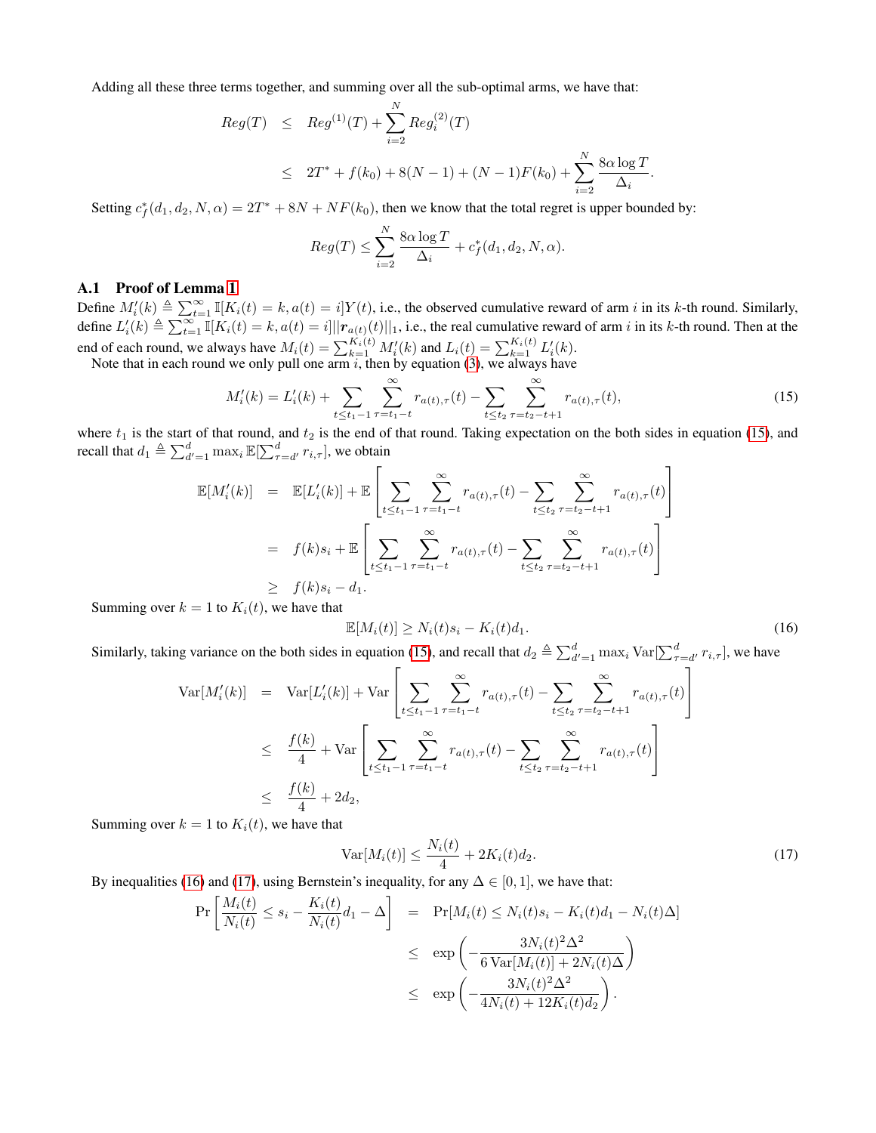Adding all these three terms together, and summing over all the sub-optimal arms, we have that:

$$
Reg(T) \leq Reg^{(1)}(T) + \sum_{i=2}^{N} Reg_i^{(2)}(T)
$$
  

$$
\leq 2T^* + f(k_0) + 8(N - 1) + (N - 1)F(k_0) + \sum_{i=2}^{N} \frac{8\alpha \log T}{\Delta_i}.
$$

Setting  $c_f^*(d_1, d_2, N, \alpha) = 2T^* + 8N + NF(k_0)$ , then we know that the total regret is upper bounded by:

$$
Reg(T) \le \sum_{i=2}^{N} \frac{8\alpha \log T}{\Delta_i} + c_f^*(d_1, d_2, N, \alpha).
$$

## A.1 Proof of Lemma [1](#page-8-2)

Define  $M_i'(k) \triangleq \sum_{t=1}^{\infty} \mathbb{I}[K_i(t) = k, a(t) = i]Y(t)$ , i.e., the observed cumulative reward of arm i in its k-th round. Similarly, define  $L'_i(k) \triangleq \sum_{t=1}^{\infty} \mathbb{I}[K_i(t) = k, a(t) = i] ||\mathbf{r}_{a(t)}(t)||_1$ , i.e., the real cumulative reward of arm i in its k-th round. Then at the end of each round, we always have  $M_i(t) = \sum_{k=1}^{K_i(t)} M_i'(k)$  and  $L_i(t) = \sum_{k=1}^{K_i(t)} L_i'(k)$ .

Note that in each round we only pull one arm  $i$ , then by equation [\(3\)](#page-3-2), we always have

$$
M_i'(k) = L_i'(k) + \sum_{t \le t_1 - 1} \sum_{\tau = t_1 - t}^{\infty} r_{a(t), \tau}(t) - \sum_{t \le t_2} \sum_{\tau = t_2 - t + 1}^{\infty} r_{a(t), \tau}(t),
$$
\n(15)

where  $t_1$  is the start of that round, and  $t_2$  is the end of that round. Taking expectation on the both sides in equation [\(15\)](#page-10-1), and recall that  $d_1 \triangleq \sum_{d'=1}^d \max_i \mathbb{E}[\sum_{\tau=d'}^d r_{i,\tau}],$  we obtain

$$
\mathbb{E}[M'_{i}(k)] = \mathbb{E}[L'_{i}(k)] + \mathbb{E}\left[\sum_{t \le t_{1}-1} \sum_{\tau=t_{1}-t}^{\infty} r_{a(t),\tau}(t) - \sum_{t \le t_{2}} \sum_{\tau=t_{2}-t+1}^{\infty} r_{a(t),\tau}(t)\right]
$$
  
\n
$$
= f(k)s_{i} + \mathbb{E}\left[\sum_{t \le t_{1}-1} \sum_{\tau=t_{1}-t}^{\infty} r_{a(t),\tau}(t) - \sum_{t \le t_{2}} \sum_{\tau=t_{2}-t+1}^{\infty} r_{a(t),\tau}(t)\right]
$$
  
\n
$$
\geq f(k)s_{i} - d_{1}.
$$

Summing over  $k = 1$  to  $K_i(t)$ , we have that

<span id="page-11-0"></span>
$$
\mathbb{E}[M_i(t)] \ge N_i(t)s_i - K_i(t)d_1.
$$
\n(16)

Similarly, taking variance on the both sides in equation [\(15\)](#page-10-1), and recall that  $d_2 \triangleq \sum_{d'=1}^d \max_i \text{Var}[\sum_{\tau=d'}^d r_{i,\tau}]$ , we have

$$
\begin{split} \text{Var}[M_{i}'(k)] &= \text{Var}[L_{i}'(k)] + \text{Var}\left[\sum_{t \le t_{1}-1} \sum_{\tau=t_{1}-t}^{\infty} r_{a(t),\tau}(t) - \sum_{t \le t_{2}} \sum_{\tau=t_{2}-t+1}^{\infty} r_{a(t),\tau}(t)\right] \\ &\le \frac{f(k)}{4} + \text{Var}\left[\sum_{t \le t_{1}-1} \sum_{\tau=t_{1}-t}^{\infty} r_{a(t),\tau}(t) - \sum_{t \le t_{2}} \sum_{\tau=t_{2}-t+1}^{\infty} r_{a(t),\tau}(t)\right] \\ &\le \frac{f(k)}{4} + 2d_{2}, \end{split}
$$

Summing over  $k = 1$  to  $K_i(t)$ , we have that

<span id="page-11-1"></span>
$$
\text{Var}[M_i(t)] \le \frac{N_i(t)}{4} + 2K_i(t)d_2. \tag{17}
$$

By inequalities [\(16\)](#page-11-0) and [\(17\)](#page-11-1), using Bernstein's inequality, for any  $\Delta \in [0, 1]$ , we have that:

$$
\Pr\left[\frac{M_i(t)}{N_i(t)} \le s_i - \frac{K_i(t)}{N_i(t)}d_1 - \Delta\right] = \Pr[M_i(t) \le N_i(t)s_i - K_i(t)d_1 - N_i(t)\Delta]
$$
  

$$
\le \exp\left(-\frac{3N_i(t)^2\Delta^2}{6\operatorname{Var}[M_i(t)] + 2N_i(t)\Delta}\right)
$$
  

$$
\le \exp\left(-\frac{3N_i(t)^2\Delta^2}{4N_i(t) + 12K_i(t)d_2}\right).
$$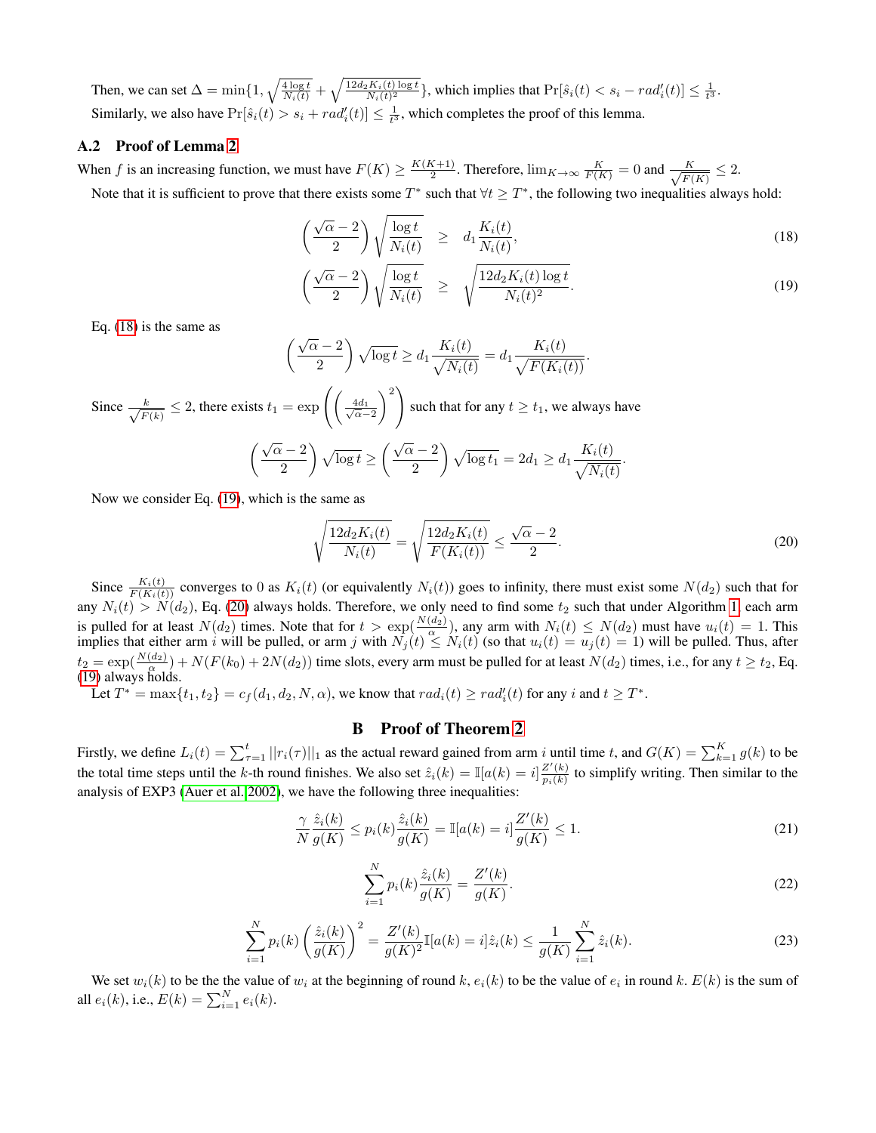Then, we can set  $\Delta = \min\{1, \sqrt{\frac{4\log t}{N_i(t)}} + \sqrt{\frac{12d_2K_i(t)\log t}{N_i(t)^2}}\}$ , which implies that  $\Pr[\hat{s}_i(t) < s_i - rad_i'(t)] \leq \frac{1}{t^3}$ . Similarly, we also have  $Pr[\hat{s}_i(t) > s_i + rad'_i(t)] \leq \frac{1}{t^3}$ , which completes the proof of this lemma.

## A.2 Proof of Lemma [2](#page-9-2)

When f is an increasing function, we must have  $F(K) \ge \frac{K(K+1)}{2}$  $\frac{K+1}{2}$ . Therefore,  $\lim_{K\to\infty} \frac{K}{F(K)} = 0$  and  $\frac{K}{\sqrt{F(K)}}$  $\frac{K}{F(K)} \leq 2.$ Note that it is sufficient to prove that there exists some  $T^*$  such that  $\forall t \geq T^*$ , the following two inequalities always hold:

<span id="page-12-0"></span>
$$
\left(\frac{\sqrt{\alpha}-2}{2}\right)\sqrt{\frac{\log t}{N_i(t)}} \geq d_1 \frac{K_i(t)}{N_i(t)},\tag{18}
$$

$$
\left(\frac{\sqrt{\alpha}-2}{2}\right)\sqrt{\frac{\log t}{N_i(t)}} \ge \sqrt{\frac{12d_2K_i(t)\log t}{N_i(t)^2}}.
$$
\n(19)

Eq. [\(18\)](#page-12-0) is the same as

$$
\left(\frac{\sqrt{\alpha}-2}{2}\right)\sqrt{\log t} \ge d_1 \frac{K_i(t)}{\sqrt{N_i(t)}} = d_1 \frac{K_i(t)}{\sqrt{F(K_i(t))}}.
$$

Since  $\frac{k}{\sqrt{R}}$  $\frac{k}{F(k)} \leq 2$ , there exists  $t_1 = \exp\left(\frac{4d_1}{\sqrt{\alpha}-2}\right)$  $\langle \rangle^2$ such that for any  $t \geq t_1$ , we always have  $(\sqrt{\alpha}-2)$ 2  $\sqrt{\log t} \ge \left(\frac{\sqrt{\alpha} - 2}{2}\right)$ 2  $\bigg\backslash \sqrt{\log t_1} = 2d_1 \geq d_1 \frac{K_i(t)}{\sqrt{N_i(t)}}$  $\sqrt{N_i(t)}$ .

Now we consider Eq. [\(19\)](#page-12-0), which is the same as

<span id="page-12-1"></span>
$$
\sqrt{\frac{12d_2K_i(t)}{N_i(t)}} = \sqrt{\frac{12d_2K_i(t)}{F(K_i(t))}} \le \frac{\sqrt{\alpha} - 2}{2}.
$$
\n(20)

Since  $\frac{K_i(t)}{F(K_i(t))}$  converges to 0 as  $K_i(t)$  (or equivalently  $N_i(t)$ ) goes to infinity, there must exist some  $N(d_2)$  such that for any  $N_i(t) > N(d_2)$ , Eq. [\(20\)](#page-12-1) always holds. Therefore, we only need to find some  $t_2$  such that under Algorithm [1,](#page-2-3) each arm is pulled for at least  $N(d_2)$  times. Note that for  $t > \exp(\frac{N(d_2)}{\alpha})$ , any arm with  $N_i(t) \le N(d_2)$  must have  $u_i(t) = 1$ . This implies that either arm i will be pulled, or arm j with  $N_j(t) \le N_i(t)$  (so that  $u_i(t) = u_j(t) = 1$ ) will be pulled. Thus, after  $t_2 = \exp(\frac{N(d_2)}{\alpha}) + N(F(k_0) + 2N(d_2))$  time slots, every arm must be pulled for at least  $N(d_2)$  times, i.e., for any  $t \ge t_2$ , Eq. [\(19\)](#page-12-0) always holds.

Let  $T^* = \max\{t_1, t_2\} = c_f(d_1, d_2, N, \alpha)$ , we know that  $rad_i(t) \geq rad_i'(t)$  for any i and  $t \geq T^*$ .

#### B Proof of Theorem [2](#page-4-2)

Firstly, we define  $L_i(t) = \sum_{\tau=1}^t ||r_i(\tau)||_1$  as the actual reward gained from arm i until time t, and  $G(K) = \sum_{k=1}^K g(k)$  to be the total time steps until the k-th round finishes. We also set  $\hat{z}_i(k) = \mathbb{I}[a(k) = i] \frac{Z'(k)}{n_i(k)}$  $\frac{\sum (k)}{p_i(k)}$  to simplify writing. Then similar to the analysis of EXP3 [\(Auer et al. 2002\)](#page-7-8), we have the following three inequalities:

<span id="page-12-2"></span>
$$
\frac{\gamma}{N} \frac{\hat{z}_i(k)}{g(K)} \le p_i(k) \frac{\hat{z}_i(k)}{g(K)} = \mathbb{I}[a(k) = i] \frac{Z'(k)}{g(K)} \le 1.
$$
\n(21)

<span id="page-12-3"></span>
$$
\sum_{i=1}^{N} p_i(k) \frac{\hat{z}_i(k)}{g(K)} = \frac{Z'(k)}{g(K)}.
$$
\n(22)

<span id="page-12-4"></span>
$$
\sum_{i=1}^{N} p_i(k) \left(\frac{\hat{z}_i(k)}{g(K)}\right)^2 = \frac{Z'(k)}{g(K)^2} \mathbb{I}[a(k) = i] \hat{z}_i(k) \le \frac{1}{g(K)} \sum_{i=1}^{N} \hat{z}_i(k).
$$
\n(23)

We set  $w_i(k)$  to be the the value of  $w_i$  at the beginning of round k,  $e_i(k)$  to be the value of  $e_i$  in round k.  $E(k)$  is the sum of all  $e_i(k)$ , i.e.,  $E(k) = \sum_{i=1}^{N} e_i(k)$ .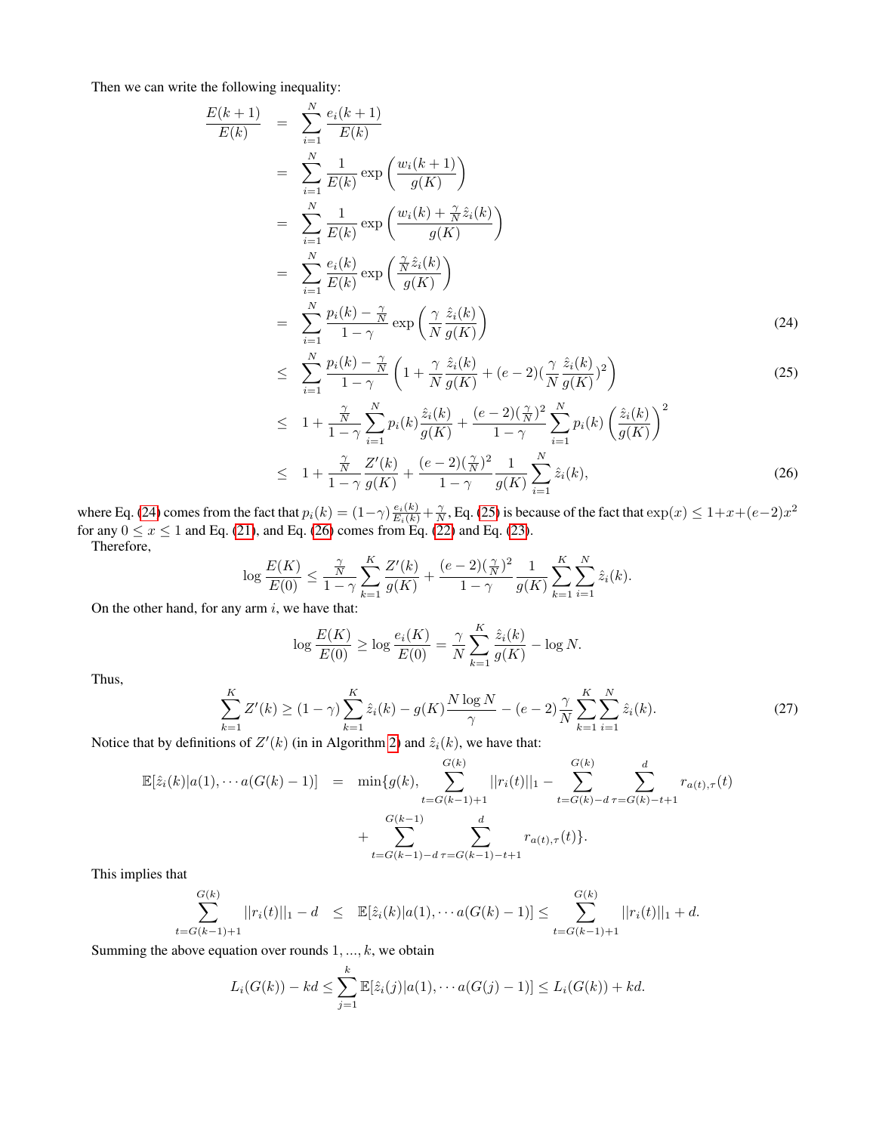Then we can write the following inequality:

<span id="page-13-0"></span>
$$
\frac{E(k+1)}{E(k)} = \sum_{i=1}^{N} \frac{e_i(k+1)}{E(k)}
$$
\n
$$
= \sum_{i=1}^{N} \frac{1}{E(k)} \exp\left(\frac{w_i(k+1)}{g(K)}\right)
$$
\n
$$
= \sum_{i=1}^{N} \frac{1}{E(k)} \exp\left(\frac{w_i(k) + \frac{\gamma}{N} \hat{z}_i(k)}{g(K)}\right)
$$
\n
$$
= \sum_{i=1}^{N} \frac{e_i(k)}{E(k)} \exp\left(\frac{\frac{\gamma}{N} \hat{z}_i(k)}{g(K)}\right)
$$
\n
$$
= \sum_{i=1}^{N} \frac{p_i(k) - \frac{\gamma}{N}}{1 - \gamma} \exp\left(\frac{\gamma}{N} \frac{\hat{z}_i(k)}{g(K)}\right)
$$
\n
$$
\sum_{i=1}^{N} p_i(k) - \frac{\gamma}{N} \left(1 + \frac{\gamma}{N} \frac{\hat{z}_i(k)}{g(K)}\right) \tag{24}
$$

$$
\leq \sum_{i=1}^{N} \frac{p_i(k) - \frac{\gamma}{N}}{1 - \gamma} \left( 1 + \frac{\gamma}{N} \frac{\hat{z}_i(k)}{g(K)} + (e - 2) \left( \frac{\gamma}{N} \frac{\hat{z}_i(k)}{g(K)} \right)^2 \right)
$$
\n
$$
\frac{\gamma}{N} \sum_{i=1}^{N} \frac{\hat{z}_i(k)}{g(K)} \left( \frac{g}{N} \frac{\gamma}{N} \right)^2 \left( \frac{g}{N} \frac{\hat{z}_i(k)}{g(K)} \right)^2
$$
\n
$$
(25)
$$

$$
\leq 1 + \frac{\frac{\gamma}{N}}{1 - \gamma} \sum_{i=1}^{N} p_i(k) \frac{\hat{z}_i(k)}{g(K)} + \frac{(e - 2)(\frac{\gamma}{N})^2}{1 - \gamma} \sum_{i=1}^{N} p_i(k) \left(\frac{\hat{z}_i(k)}{g(K)}\right)^2
$$
  

$$
\leq 1 + \frac{\frac{\gamma}{N}}{1 - \gamma} \frac{Z'(k)}{g(K)} + \frac{(e - 2)(\frac{\gamma}{N})^2}{1 - \gamma} \frac{1}{g(K)} \sum_{i=1}^{N} \hat{z}_i(k), \tag{26}
$$

where Eq. [\(24\)](#page-13-0) comes from the fact that  $p_i(k) = (1 - \gamma) \frac{e_i(k)}{E_i(k)} + \frac{\gamma}{N}$ , Eq. [\(25\)](#page-13-0) is because of the fact that  $\exp(x) \le 1 + x + (e-2)x^2$ for any  $0 \le x \le 1$  and Eq. [\(21\)](#page-12-2), and Eq. [\(26\)](#page-13-0) comes from Eq. [\(22\)](#page-12-3) and Eq. [\(23\)](#page-12-4). Therefore,

$$
\log \frac{E(K)}{E(0)} \le \frac{\frac{\gamma}{N}}{1-\gamma} \sum_{k=1}^K \frac{Z'(k)}{g(K)} + \frac{(e-2)(\frac{\gamma}{N})^2}{1-\gamma} \frac{1}{g(K)} \sum_{k=1}^K \sum_{i=1}^N \hat{z}_i(k).
$$

On the other hand, for any arm  $i$ , we have that:

$$
\log \frac{E(K)}{E(0)} \ge \log \frac{e_i(K)}{E(0)} = \frac{\gamma}{N} \sum_{k=1}^{K} \frac{\hat{z}_i(k)}{g(K)} - \log N.
$$

Thus,

<span id="page-13-1"></span>
$$
\sum_{k=1}^{K} Z'(k) \ge (1 - \gamma) \sum_{k=1}^{K} \hat{z}_i(k) - g(K) \frac{N \log N}{\gamma} - (e - 2) \frac{\gamma}{N} \sum_{k=1}^{K} \sum_{i=1}^{N} \hat{z}_i(k).
$$
\n(27)

Notice that by definitions of  $Z'(k)$  (in in Algorithm [2\)](#page-4-1) and  $\hat{z}_i(k)$ , we have that:

$$
\mathbb{E}[\hat{z}_i(k)|a(1),\cdots a(G(k)-1)] = \min\{g(k), \sum_{t=G(k-1)+1}^{G(k)}||r_i(t)||_1 - \sum_{t=G(k)-d}^{G(k)}\sum_{\tau=G(k)-t+1}^{d}r_{a(t),\tau}(t) + \sum_{t=G(k-1)-d}^{G(k-1)}\sum_{\tau=G(k-1)-t+1}^{d}r_{a(t),\tau}(t)\}.
$$

This implies that

$$
\sum_{t=G(k-1)+1}^{G(k)} ||r_i(t)||_1 - d \leq \mathbb{E}[\hat{z}_i(k)|a(1), \cdots a(G(k)-1)] \leq \sum_{t=G(k-1)+1}^{G(k)} ||r_i(t)||_1 + d.
$$

Summing the above equation over rounds  $1, \ldots, k$ , we obtain

$$
L_i(G(k)) - kd \leq \sum_{j=1}^k \mathbb{E}[\hat{z}_i(j)|a(1), \cdots a(G(j)-1)] \leq L_i(G(k)) + kd.
$$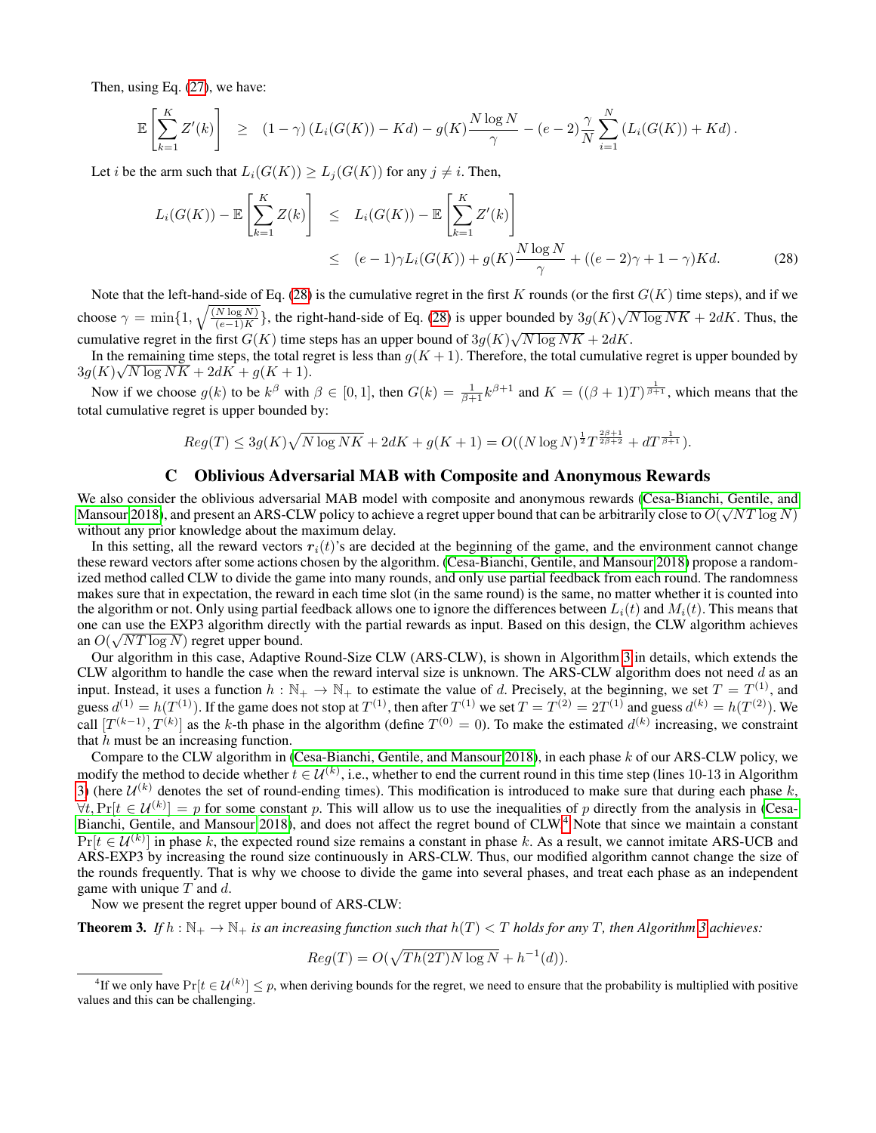Then, using Eq. [\(27\)](#page-13-1), we have:

$$
\mathbb{E}\left[\sum_{k=1}^K Z'(k)\right] \geq (1-\gamma)\left(L_i(G(K)) - Kd\right) - g(K)\frac{N\log N}{\gamma} - (e-2)\frac{\gamma}{N}\sum_{i=1}^N \left(L_i(G(K)) + Kd\right).
$$

Let *i* be the arm such that  $L_i(G(K)) \geq L_i(G(K))$  for any  $j \neq i$ . Then,

<span id="page-14-0"></span>
$$
L_i(G(K)) - \mathbb{E}\left[\sum_{k=1}^K Z(k)\right] \le L_i(G(K)) - \mathbb{E}\left[\sum_{k=1}^K Z'(k)\right]
$$
  
\n
$$
\le (e-1)\gamma L_i(G(K)) + g(K)\frac{N\log N}{\gamma} + ((e-2)\gamma + 1 - \gamma)Kd. \tag{28}
$$

Note that the left-hand-side of Eq. [\(28\)](#page-14-0) is the cumulative regret in the first K rounds (or the first  $G(K)$  time steps), and if we choose  $\gamma = \min\{1, \sqrt{\frac{(N \log N)}{(e-1)K}}\}$ , the right-hand-side of Eq. [\(28\)](#page-14-0) is upper bounded by  $3g(K)\sqrt{N \log NK} + 2dK$ . Thus, the cumulative regret in the first  $G(K)$  time steps has an upper bound of  $3g(K)\sqrt{N \log NK} + 2dK$ .

In the remaining time steps, the total regret is less than  $g(K + 1)$ . Therefore, the total cumulative regret is upper bounded by  $3g(K)\sqrt{N\log NK}+2dK+g(K+1).$ 

Now if we choose  $g(k)$  to be  $k^{\beta}$  with  $\beta \in [0, 1]$ , then  $G(k) = \frac{1}{\beta+1}k^{\beta+1}$  and  $K = ((\beta+1)T)^{\frac{1}{\beta+1}}$ , which means that the total cumulative regret is upper bounded by:

$$
Reg(T) \leq 3g(K)\sqrt{N\log NK} + 2dK + g(K+1) = O((N\log N)^{\frac{1}{2}}T^{\frac{2\beta+1}{2\beta+2}} + dT^{\frac{1}{\beta+1}}).
$$

## C Oblivious Adversarial MAB with Composite and Anonymous Rewards

We also consider the oblivious adversarial MAB model with composite and anonymous rewards [\(Cesa-Bianchi, Gentile, and](#page-7-13)  $\frac{1}{2}$ [Mansour 2018\)](#page-7-13), and present an ARS-CLW policy to achieve a regret upper bound that can be arbitrarily close to  $O(\sqrt{NT\log N})$ without any prior knowledge about the maximum delay.

In this setting, all the reward vectors  $r_i(t)$ 's are decided at the beginning of the game, and the environment cannot change these reward vectors after some actions chosen by the algorithm. [\(Cesa-Bianchi, Gentile, and Mansour 2018\)](#page-7-13) propose a randomized method called CLW to divide the game into many rounds, and only use partial feedback from each round. The randomness makes sure that in expectation, the reward in each time slot (in the same round) is the same, no matter whether it is counted into the algorithm or not. Only using partial feedback allows one to ignore the differences between  $L_i(t)$  and  $M_i(t)$ . This means that one can use the EXP3 algorithm directly with the partial rewards as input. Based on this design, the CLW algorithm achieves an  $O(\sqrt{NT \log N})$  regret upper bound.

Our algorithm in this case, Adaptive Round-Size CLW (ARS-CLW), is shown in Algorithm [3](#page-15-0) in details, which extends the CLW algorithm to handle the case when the reward interval size is unknown. The ARS-CLW algorithm does not need  $d$  as an input. Instead, it uses a function  $h : \mathbb{N}_+ \to \mathbb{N}_+$  to estimate the value of d. Precisely, at the beginning, we set  $T = T^{(1)}$ , and guess  $d^{(1)} = h(T^{(1)})$ . If the game does not stop at  $T^{(1)}$ , then after  $T^{(1)}$  we set  $T = T^{(2)} = 2T^{(1)}$  and guess  $d^{(k)} = h(T^{(2)})$ . We call  $[T^{(k-1)}, T^{(k)}]$  as the k-th phase in the algorithm (define  $T^{(0)} = 0$ ). To make the estimated  $d^{(k)}$  increasing, we constraint that  $h$  must be an increasing function.

Compare to the CLW algorithm in [\(Cesa-Bianchi, Gentile, and Mansour 2018\)](#page-7-13), in each phase k of our ARS-CLW policy, we modify the method to decide whether  $t \in U^{(k)}$ , i.e., whether to end the current round in this time step (lines 10-13 in Algorithm [3\)](#page-15-0) (here  $\mathcal{U}^{(k)}$  denotes the set of round-ending times). This modification is introduced to make sure that during each phase k,  $\forall t, \Pr[t \in \mathcal{U}^{(k)}] = p$  for some constant p. This will allow us to use the inequalities of p directly from the analysis in [\(Cesa-](#page-7-13)[Bianchi, Gentile, and Mansour 2018\)](#page-7-13), and does not affect the regret bound of CLW.[4](#page-14-1) Note that since we maintain a constant  $Pr[t \in \mathcal{U}^{(k)}]$  in phase k, the expected round size remains a constant in phase k. As a result, we cannot imitate ARS-UCB and ARS-EXP3 by increasing the round size continuously in ARS-CLW. Thus, our modified algorithm cannot change the size of the rounds frequently. That is why we choose to divide the game into several phases, and treat each phase as an independent game with unique  $T$  and  $d$ .

Now we present the regret upper bound of ARS-CLW:

<span id="page-14-2"></span>**Theorem [3](#page-15-0).** If  $h : \mathbb{N}_+ \to \mathbb{N}_+$  is an increasing function such that  $h(T) < T$  holds for any T, then Algorithm 3 achieves:

$$
Reg(T) = O(\sqrt{Th(2T)N \log N} + h^{-1}(d)).
$$

<span id="page-14-1"></span><sup>&</sup>lt;sup>4</sup>If we only have  $Pr[t \in U^{(k)}] \leq p$ , when deriving bounds for the regret, we need to ensure that the probability is multiplied with positive values and this can be challenging.